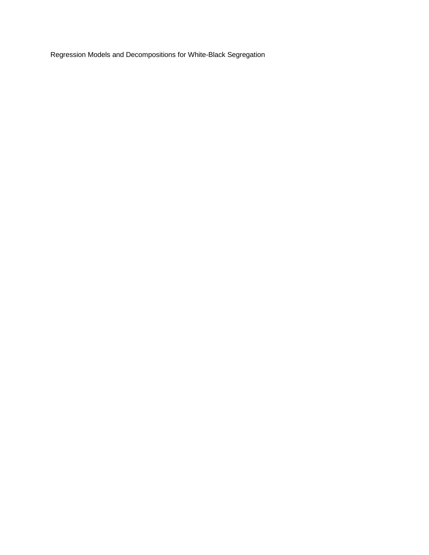Regression Models and Decompositions for White-Black Segregation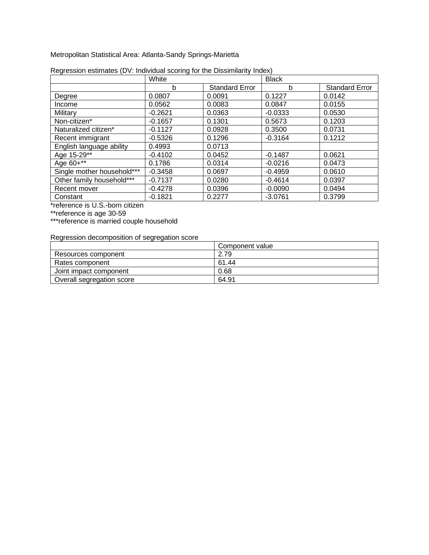Metropolitan Statistical Area: Atlanta-Sandy Springs-Marietta

|                            | White     |                       | <b>Black</b> |                       |
|----------------------------|-----------|-----------------------|--------------|-----------------------|
|                            | b         | <b>Standard Error</b> | b            | <b>Standard Error</b> |
| Degree                     | 0.0807    | 0.0091                | 0.1227       | 0.0142                |
| Income                     | 0.0562    | 0.0083                | 0.0847       | 0.0155                |
| Military                   | $-0.2621$ | 0.0363                | $-0.0333$    | 0.0530                |
| Non-citizen*               | $-0.1657$ | 0.1301                | 0.5673       | 0.1203                |
| Naturalized citizen*       | $-0.1127$ | 0.0928                | 0.3500       | 0.0731                |
| Recent immigrant           | $-0.5326$ | 0.1296                | $-0.3164$    | 0.1212                |
| English language ability   | 0.4993    | 0.0713                |              |                       |
| Age 15-29**                | $-0.4102$ | 0.0452                | $-0.1487$    | 0.0621                |
| Age 60+**                  | 0.1786    | 0.0314                | $-0.0216$    | 0.0473                |
| Single mother household*** | $-0.3458$ | 0.0697                | $-0.4959$    | 0.0610                |
| Other family household***  | $-0.7137$ | 0.0280                | $-0.4614$    | 0.0397                |
| Recent mover               | $-0.4278$ | 0.0396                | $-0.0090$    | 0.0494                |
| Constant                   | $-0.1821$ | 0.2277                | $-3.0761$    | 0.3799                |

|  | Regression estimates (DV: Individual scoring for the Dissimilarity Index) |
|--|---------------------------------------------------------------------------|
|  |                                                                           |

\*reference is U.S.-born citizen

\*\*reference is age 30-59

\*\*\*reference is married couple household

|                           | Component value |
|---------------------------|-----------------|
| Resources component       | 2.79            |
| Rates component           | 61.44           |
| Joint impact component    | 0.68            |
| Overall segregation score | 64.91           |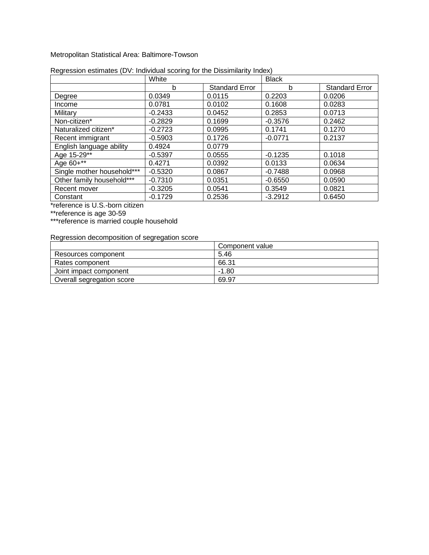#### Metropolitan Statistical Area: Baltimore-Towson

|                            | White     |                       | <b>Black</b> |                       |
|----------------------------|-----------|-----------------------|--------------|-----------------------|
|                            | b         | <b>Standard Error</b> | b            | <b>Standard Error</b> |
| Degree                     | 0.0349    | 0.0115                | 0.2203       | 0.0206                |
| Income                     | 0.0781    | 0.0102                | 0.1608       | 0.0283                |
| Military                   | $-0.2433$ | 0.0452                | 0.2853       | 0.0713                |
| Non-citizen*               | $-0.2829$ | 0.1699                | $-0.3576$    | 0.2462                |
| Naturalized citizen*       | $-0.2723$ | 0.0995                | 0.1741       | 0.1270                |
| Recent immigrant           | $-0.5903$ | 0.1726                | $-0.0771$    | 0.2137                |
| English language ability   | 0.4924    | 0.0779                |              |                       |
| Age 15-29**                | $-0.5397$ | 0.0555                | $-0.1235$    | 0.1018                |
| Age 60+**                  | 0.4271    | 0.0392                | 0.0133       | 0.0634                |
| Single mother household*** | $-0.5320$ | 0.0867                | $-0.7488$    | 0.0968                |
| Other family household***  | $-0.7310$ | 0.0351                | $-0.6550$    | 0.0590                |
| Recent mover               | $-0.3205$ | 0.0541                | 0.3549       | 0.0821                |
| Constant                   | $-0.1729$ | 0.2536                | $-3.2912$    | 0.6450                |

# Regression estimates (DV: Individual scoring for the Dissimilarity Index)

\*reference is U.S.-born citizen

\*\*reference is age 30-59

\*\*\*reference is married couple household

|                           | Component value |
|---------------------------|-----------------|
| Resources component       | 5.46            |
| Rates component           | 66.31           |
| Joint impact component    | $-1.80$         |
| Overall segregation score | 69.97           |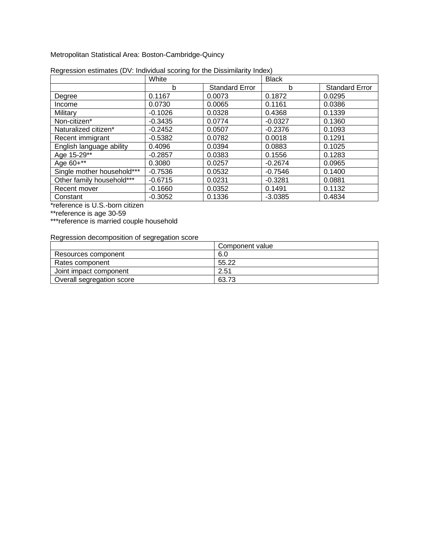Metropolitan Statistical Area: Boston-Cambridge-Quincy

|                            | White     |                       | <b>Black</b> |                       |
|----------------------------|-----------|-----------------------|--------------|-----------------------|
|                            | b         | <b>Standard Error</b> | b            | <b>Standard Error</b> |
| Degree                     | 0.1167    | 0.0073                | 0.1872       | 0.0295                |
| Income                     | 0.0730    | 0.0065                | 0.1161       | 0.0386                |
| Military                   | $-0.1026$ | 0.0328                | 0.4368       | 0.1339                |
| Non-citizen*               | $-0.3435$ | 0.0774                | $-0.0327$    | 0.1360                |
| Naturalized citizen*       | $-0.2452$ | 0.0507                | $-0.2376$    | 0.1093                |
| Recent immigrant           | $-0.5382$ | 0.0782                | 0.0018       | 0.1291                |
| English language ability   | 0.4096    | 0.0394                | 0.0883       | 0.1025                |
| Age 15-29**                | $-0.2857$ | 0.0383                | 0.1556       | 0.1283                |
| Age 60+**                  | 0.3080    | 0.0257                | $-0.2674$    | 0.0965                |
| Single mother household*** | $-0.7536$ | 0.0532                | $-0.7546$    | 0.1400                |
| Other family household***  | $-0.6715$ | 0.0231                | $-0.3281$    | 0.0881                |
| Recent mover               | $-0.1660$ | 0.0352                | 0.1491       | 0.1132                |
| Constant                   | $-0.3052$ | 0.1336                | $-3.0385$    | 0.4834                |

|  | Regression estimates (DV: Individual scoring for the Dissimilarity Index) |
|--|---------------------------------------------------------------------------|
|  |                                                                           |

\*reference is U.S.-born citizen

\*\*reference is age 30-59

\*\*\*reference is married couple household

|                           | Component value |
|---------------------------|-----------------|
| Resources component       | 6.0             |
| Rates component           | 55.22           |
| Joint impact component    | 2.51            |
| Overall segregation score | 63.73           |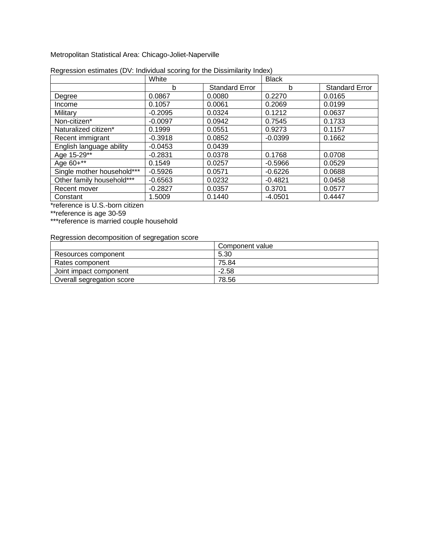Metropolitan Statistical Area: Chicago-Joliet-Naperville

|                            | White     |                       | <b>Black</b> |                       |
|----------------------------|-----------|-----------------------|--------------|-----------------------|
|                            | b         | <b>Standard Error</b> | b            | <b>Standard Error</b> |
| Degree                     | 0.0867    | 0.0080                | 0.2270       | 0.0165                |
| Income                     | 0.1057    | 0.0061                | 0.2069       | 0.0199                |
| Military                   | $-0.2095$ | 0.0324                | 0.1212       | 0.0637                |
| Non-citizen*               | $-0.0097$ | 0.0942                | 0.7545       | 0.1733                |
| Naturalized citizen*       | 0.1999    | 0.0551                | 0.9273       | 0.1157                |
| Recent immigrant           | $-0.3918$ | 0.0852                | $-0.0399$    | 0.1662                |
| English language ability   | $-0.0453$ | 0.0439                |              |                       |
| Age 15-29**                | $-0.2831$ | 0.0378                | 0.1768       | 0.0708                |
| Age 60+**                  | 0.1549    | 0.0257                | $-0.5966$    | 0.0529                |
| Single mother household*** | $-0.5926$ | 0.0571                | $-0.6226$    | 0.0688                |
| Other family household***  | $-0.6563$ | 0.0232                | $-0.4821$    | 0.0458                |
| Recent mover               | $-0.2827$ | 0.0357                | 0.3701       | 0.0577                |
| Constant                   | 1.5009    | 0.1440                | $-4.0501$    | 0.4447                |

| Regression estimates (DV: Individual scoring for the Dissimilarity Index) |  |  |  |
|---------------------------------------------------------------------------|--|--|--|
|                                                                           |  |  |  |

\*reference is U.S.-born citizen

\*\*reference is age 30-59

\*\*\*reference is married couple household

|                           | Component value |
|---------------------------|-----------------|
| Resources component       | 5.30            |
| Rates component           | 75.84           |
| Joint impact component    | $-2.58$         |
| Overall segregation score | 78.56           |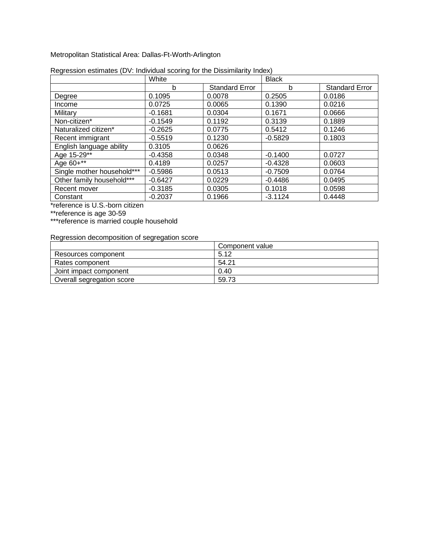Metropolitan Statistical Area: Dallas-Ft-Worth-Arlington

|                            | White     |                       | <b>Black</b> |                       |
|----------------------------|-----------|-----------------------|--------------|-----------------------|
|                            | b         | <b>Standard Error</b> | b            | <b>Standard Error</b> |
| Degree                     | 0.1095    | 0.0078                | 0.2505       | 0.0186                |
| Income                     | 0.0725    | 0.0065                | 0.1390       | 0.0216                |
| Military                   | $-0.1681$ | 0.0304                | 0.1671       | 0.0666                |
| Non-citizen*               | $-0.1549$ | 0.1192                | 0.3139       | 0.1889                |
| Naturalized citizen*       | $-0.2625$ | 0.0775                | 0.5412       | 0.1246                |
| Recent immigrant           | $-0.5519$ | 0.1230                | $-0.5829$    | 0.1803                |
| English language ability   | 0.3105    | 0.0626                |              |                       |
| Age 15-29**                | $-0.4358$ | 0.0348                | $-0.1400$    | 0.0727                |
| Age 60+**                  | 0.4189    | 0.0257                | $-0.4328$    | 0.0603                |
| Single mother household*** | $-0.5986$ | 0.0513                | $-0.7509$    | 0.0764                |
| Other family household***  | $-0.6427$ | 0.0229                | $-0.4486$    | 0.0495                |
| Recent mover               | $-0.3185$ | 0.0305                | 0.1018       | 0.0598                |
| Constant                   | $-0.2037$ | 0.1966                | $-3.1124$    | 0.4448                |

| Regression estimates (DV: Individual scoring for the Dissimilarity Index) |  |  |
|---------------------------------------------------------------------------|--|--|
|                                                                           |  |  |

\*reference is U.S.-born citizen

\*\*reference is age 30-59

\*\*\*reference is married couple household

|                           | Component value |
|---------------------------|-----------------|
| Resources component       | 5.12            |
| Rates component           | 54.21           |
| Joint impact component    | 0.40            |
| Overall segregation score | 59.73           |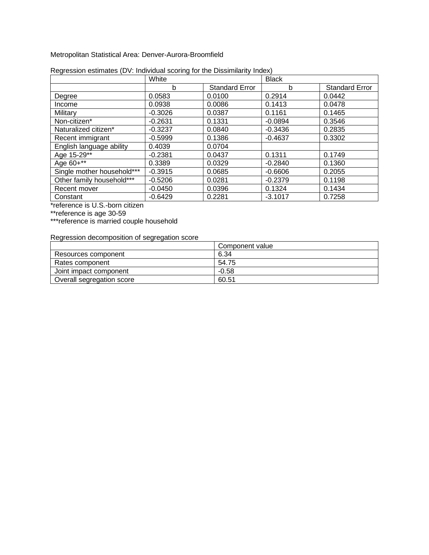Metropolitan Statistical Area: Denver-Aurora-Broomfield

|                            | White     |                       | <b>Black</b> |                       |
|----------------------------|-----------|-----------------------|--------------|-----------------------|
|                            | b         | <b>Standard Error</b> | b            | <b>Standard Error</b> |
| Degree                     | 0.0583    | 0.0100                | 0.2914       | 0.0442                |
| Income                     | 0.0938    | 0.0086                | 0.1413       | 0.0478                |
| Military                   | $-0.3026$ | 0.0387                | 0.1161       | 0.1465                |
| Non-citizen*               | $-0.2631$ | 0.1331                | $-0.0894$    | 0.3546                |
| Naturalized citizen*       | $-0.3237$ | 0.0840                | $-0.3436$    | 0.2835                |
| Recent immigrant           | $-0.5999$ | 0.1386                | $-0.4637$    | 0.3302                |
| English language ability   | 0.4039    | 0.0704                |              |                       |
| Age 15-29**                | $-0.2381$ | 0.0437                | 0.1311       | 0.1749                |
| Age 60+**                  | 0.3389    | 0.0329                | $-0.2840$    | 0.1360                |
| Single mother household*** | $-0.3915$ | 0.0685                | $-0.6606$    | 0.2055                |
| Other family household***  | $-0.5206$ | 0.0281                | $-0.2379$    | 0.1198                |
| Recent mover               | $-0.0450$ | 0.0396                | 0.1324       | 0.1434                |
| Constant                   | $-0.6429$ | 0.2281                | $-3.1017$    | 0.7258                |

|  | Regression estimates (DV: Individual scoring for the Dissimilarity Index) |
|--|---------------------------------------------------------------------------|
|  |                                                                           |

\*reference is U.S.-born citizen

\*\*reference is age 30-59

\*\*\*reference is married couple household

|                           | Component value |
|---------------------------|-----------------|
| Resources component       | 6.34            |
| Rates component           | 54.75           |
| Joint impact component    | $-0.58$         |
| Overall segregation score | 60.51           |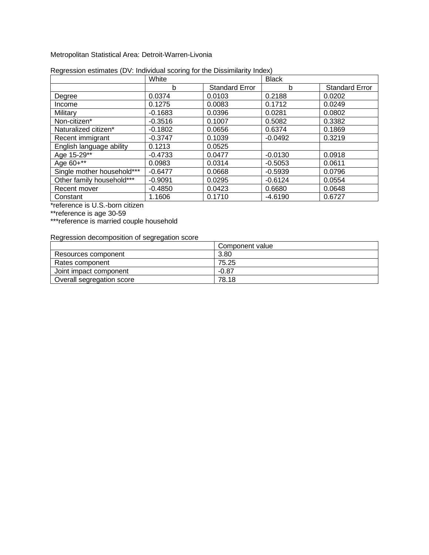Metropolitan Statistical Area: Detroit-Warren-Livonia

|                            | White     |                       | <b>Black</b> |                       |
|----------------------------|-----------|-----------------------|--------------|-----------------------|
|                            | b         | <b>Standard Error</b> | b            | <b>Standard Error</b> |
| Degree                     | 0.0374    | 0.0103                | 0.2188       | 0.0202                |
| Income                     | 0.1275    | 0.0083                | 0.1712       | 0.0249                |
| Military                   | $-0.1683$ | 0.0396                | 0.0281       | 0.0802                |
| Non-citizen*               | $-0.3516$ | 0.1007                | 0.5082       | 0.3382                |
| Naturalized citizen*       | $-0.1802$ | 0.0656                | 0.6374       | 0.1869                |
| Recent immigrant           | $-0.3747$ | 0.1039                | $-0.0492$    | 0.3219                |
| English language ability   | 0.1213    | 0.0525                |              |                       |
| Age 15-29**                | $-0.4733$ | 0.0477                | $-0.0130$    | 0.0918                |
| Age 60+**                  | 0.0983    | 0.0314                | $-0.5053$    | 0.0611                |
| Single mother household*** | $-0.6477$ | 0.0668                | $-0.5939$    | 0.0796                |
| Other family household***  | $-0.9091$ | 0.0295                | $-0.6124$    | 0.0554                |
| Recent mover               | $-0.4850$ | 0.0423                | 0.6680       | 0.0648                |
| Constant                   | 1.1606    | 0.1710                | $-4.6190$    | 0.6727                |

| Regression estimates (DV: Individual scoring for the Dissimilarity Index) |  |  |  |
|---------------------------------------------------------------------------|--|--|--|
|                                                                           |  |  |  |

\*reference is U.S.-born citizen

\*\*reference is age 30-59

\*\*\*reference is married couple household

|                           | Component value |
|---------------------------|-----------------|
| Resources component       | 3.80            |
| Rates component           | 75.25           |
| Joint impact component    | $-0.87$         |
| Overall segregation score | 78.18           |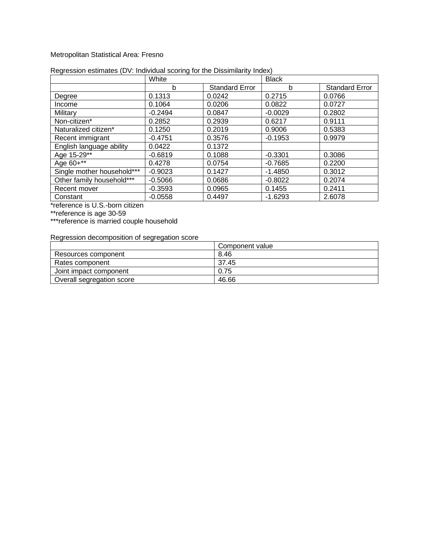#### Metropolitan Statistical Area: Fresno

|                            | White     |                       | <b>Black</b> |                       |
|----------------------------|-----------|-----------------------|--------------|-----------------------|
|                            | b         | <b>Standard Error</b> | b            | <b>Standard Error</b> |
| Degree                     | 0.1313    | 0.0242                | 0.2715       | 0.0766                |
| Income                     | 0.1064    | 0.0206                | 0.0822       | 0.0727                |
| Military                   | $-0.2494$ | 0.0847                | $-0.0029$    | 0.2802                |
| Non-citizen*               | 0.2852    | 0.2939                | 0.6217       | 0.9111                |
| Naturalized citizen*       | 0.1250    | 0.2019                | 0.9006       | 0.5383                |
| Recent immigrant           | $-0.4751$ | 0.3576                | $-0.1953$    | 0.9979                |
| English language ability   | 0.0422    | 0.1372                |              |                       |
| Age 15-29**                | $-0.6819$ | 0.1088                | $-0.3301$    | 0.3086                |
| Age 60+**                  | 0.4278    | 0.0754                | $-0.7685$    | 0.2200                |
| Single mother household*** | $-0.9023$ | 0.1427                | $-1.4850$    | 0.3012                |
| Other family household***  | $-0.5066$ | 0.0686                | $-0.8022$    | 0.2074                |
| Recent mover               | $-0.3593$ | 0.0965                | 0.1455       | 0.2411                |
| Constant                   | $-0.0558$ | 0.4497                | $-1.6293$    | 2.6078                |

#### Regression estimates (DV: Individual scoring for the Dissimilarity Index)

\*reference is U.S.-born citizen

\*\*reference is age 30-59

\*\*\*reference is married couple household

|                           | Component value |
|---------------------------|-----------------|
| Resources component       | 8.46            |
| Rates component           | 37.45           |
| Joint impact component    | 0.75            |
| Overall segregation score | 46.66           |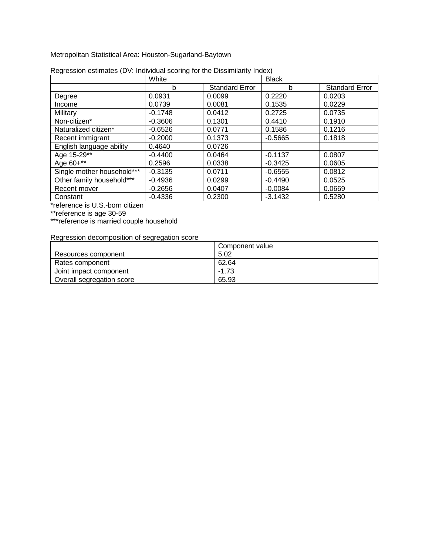Metropolitan Statistical Area: Houston-Sugarland-Baytown

|                            | White     |                       | <b>Black</b> |                       |
|----------------------------|-----------|-----------------------|--------------|-----------------------|
|                            | b         | <b>Standard Error</b> | b            | <b>Standard Error</b> |
| Degree                     | 0.0931    | 0.0099                | 0.2220       | 0.0203                |
| Income                     | 0.0739    | 0.0081                | 0.1535       | 0.0229                |
| Military                   | $-0.1748$ | 0.0412                | 0.2725       | 0.0735                |
| Non-citizen*               | $-0.3606$ | 0.1301                | 0.4410       | 0.1910                |
| Naturalized citizen*       | $-0.6526$ | 0.0771                | 0.1586       | 0.1216                |
| Recent immigrant           | $-0.2000$ | 0.1373                | $-0.5665$    | 0.1818                |
| English language ability   | 0.4640    | 0.0726                |              |                       |
| Age 15-29**                | $-0.4400$ | 0.0464                | $-0.1137$    | 0.0807                |
| Age 60+**                  | 0.2596    | 0.0338                | $-0.3425$    | 0.0605                |
| Single mother household*** | $-0.3135$ | 0.0711                | $-0.6555$    | 0.0812                |
| Other family household***  | $-0.4936$ | 0.0299                | $-0.4490$    | 0.0525                |
| Recent mover               | $-0.2656$ | 0.0407                | $-0.0084$    | 0.0669                |
| Constant                   | $-0.4336$ | 0.2300                | $-3.1432$    | 0.5280                |

| Regression estimates (DV: Individual scoring for the Dissimilarity Index) |  |  |
|---------------------------------------------------------------------------|--|--|
|                                                                           |  |  |

\*reference is U.S.-born citizen

\*\*reference is age 30-59

\*\*\*reference is married couple household

|                           | Component value |
|---------------------------|-----------------|
| Resources component       | 5.02            |
| Rates component           | 62.64           |
| Joint impact component    | $-1.73$         |
| Overall segregation score | 65.93           |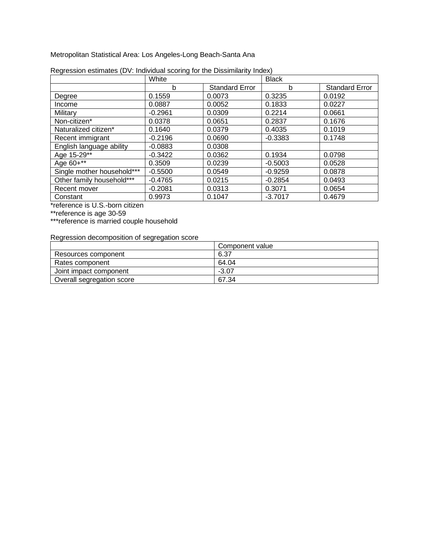Metropolitan Statistical Area: Los Angeles-Long Beach-Santa Ana

|                            | White     |                       | <b>Black</b> |                       |
|----------------------------|-----------|-----------------------|--------------|-----------------------|
|                            | b         | <b>Standard Error</b> | b            | <b>Standard Error</b> |
| Degree                     | 0.1559    | 0.0073                | 0.3235       | 0.0192                |
| Income                     | 0.0887    | 0.0052                | 0.1833       | 0.0227                |
| Military                   | $-0.2961$ | 0.0309                | 0.2214       | 0.0661                |
| Non-citizen*               | 0.0378    | 0.0651                | 0.2837       | 0.1676                |
| Naturalized citizen*       | 0.1640    | 0.0379                | 0.4035       | 0.1019                |
| Recent immigrant           | $-0.2196$ | 0.0690                | $-0.3383$    | 0.1748                |
| English language ability   | $-0.0883$ | 0.0308                |              |                       |
| Age 15-29**                | $-0.3422$ | 0.0362                | 0.1934       | 0.0798                |
| Age 60+**                  | 0.3509    | 0.0239                | $-0.5003$    | 0.0528                |
| Single mother household*** | $-0.5500$ | 0.0549                | $-0.9259$    | 0.0878                |
| Other family household***  | $-0.4765$ | 0.0215                | $-0.2854$    | 0.0493                |
| Recent mover               | $-0.2081$ | 0.0313                | 0.3071       | 0.0654                |
| Constant                   | 0.9973    | 0.1047                | $-3.7017$    | 0.4679                |

| Regression estimates (DV: Individual scoring for the Dissimilarity Index) |  |  |
|---------------------------------------------------------------------------|--|--|
|                                                                           |  |  |

\*reference is U.S.-born citizen

\*\*reference is age 30-59

\*\*\*reference is married couple household

|                           | Component value |
|---------------------------|-----------------|
| Resources component       | 6.37            |
| Rates component           | 64.04           |
| Joint impact component    | $-3.07$         |
| Overall segregation score | 67.34           |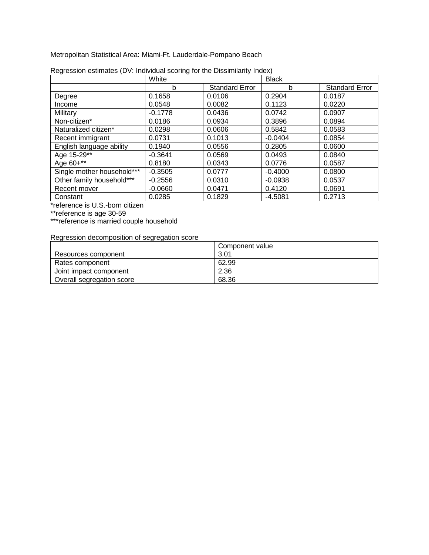Metropolitan Statistical Area: Miami-Ft. Lauderdale-Pompano Beach

|                            | White     |                       | <b>Black</b> |                       |
|----------------------------|-----------|-----------------------|--------------|-----------------------|
|                            | b         | <b>Standard Error</b> | b            | <b>Standard Error</b> |
| Degree                     | 0.1658    | 0.0106                | 0.2904       | 0.0187                |
| Income                     | 0.0548    | 0.0082                | 0.1123       | 0.0220                |
| Military                   | $-0.1778$ | 0.0436                | 0.0742       | 0.0907                |
| Non-citizen*               | 0.0186    | 0.0934                | 0.3896       | 0.0894                |
| Naturalized citizen*       | 0.0298    | 0.0606                | 0.5842       | 0.0583                |
| Recent immigrant           | 0.0731    | 0.1013                | $-0.0404$    | 0.0854                |
| English language ability   | 0.1940    | 0.0556                | 0.2805       | 0.0600                |
| Age 15-29**                | $-0.3641$ | 0.0569                | 0.0493       | 0.0840                |
| Age 60+**                  | 0.8180    | 0.0343                | 0.0776       | 0.0587                |
| Single mother household*** | $-0.3505$ | 0.0777                | $-0.4000$    | 0.0800                |
| Other family household***  | $-0.2556$ | 0.0310                | $-0.0938$    | 0.0537                |
| Recent mover               | $-0.0660$ | 0.0471                | 0.4120       | 0.0691                |
| Constant                   | 0.0285    | 0.1829                | $-4.5081$    | 0.2713                |

| Regression estimates (DV: Individual scoring for the Dissimilarity Index) |  |  |
|---------------------------------------------------------------------------|--|--|
|                                                                           |  |  |

\*reference is U.S.-born citizen

\*\*reference is age 30-59

\*\*\*reference is married couple household

|                           | Component value |
|---------------------------|-----------------|
| Resources component       | 3.01            |
| Rates component           | 62.99           |
| Joint impact component    | 2.36            |
| Overall segregation score | 68.36           |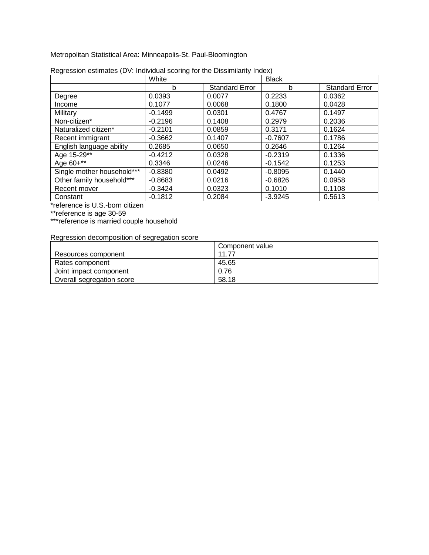Metropolitan Statistical Area: Minneapolis-St. Paul-Bloomington

|                            | White     |                       | <b>Black</b> |                       |
|----------------------------|-----------|-----------------------|--------------|-----------------------|
|                            | b         | <b>Standard Error</b> | b            | <b>Standard Error</b> |
| Degree                     | 0.0393    | 0.0077                | 0.2233       | 0.0362                |
| Income                     | 0.1077    | 0.0068                | 0.1800       | 0.0428                |
| Military                   | $-0.1499$ | 0.0301                | 0.4767       | 0.1497                |
| Non-citizen*               | $-0.2196$ | 0.1408                | 0.2979       | 0.2036                |
| Naturalized citizen*       | $-0.2101$ | 0.0859                | 0.3171       | 0.1624                |
| Recent immigrant           | $-0.3662$ | 0.1407                | $-0.7607$    | 0.1786                |
| English language ability   | 0.2685    | 0.0650                | 0.2646       | 0.1264                |
| Age 15-29**                | $-0.4212$ | 0.0328                | $-0.2319$    | 0.1336                |
| Age 60+**                  | 0.3346    | 0.0246                | $-0.1542$    | 0.1253                |
| Single mother household*** | $-0.8380$ | 0.0492                | $-0.8095$    | 0.1440                |
| Other family household***  | $-0.8683$ | 0.0216                | $-0.6826$    | 0.0958                |
| Recent mover               | $-0.3424$ | 0.0323                | 0.1010       | 0.1108                |
| Constant                   | $-0.1812$ | 0.2084                | $-3.9245$    | 0.5613                |

| Regression estimates (DV: Individual scoring for the Dissimilarity Index) |  |  |
|---------------------------------------------------------------------------|--|--|
|                                                                           |  |  |

\*reference is U.S.-born citizen

\*\*reference is age 30-59

\*\*\*reference is married couple household

|                           | Component value |
|---------------------------|-----------------|
| Resources component       | 11 77           |
| Rates component           | 45.65           |
| Joint impact component    | 0.76            |
| Overall segregation score | 58.18           |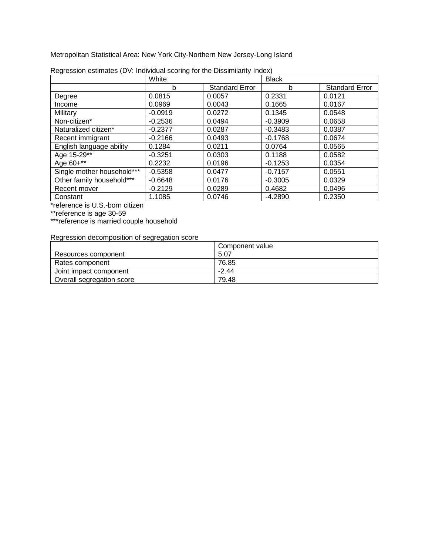Metropolitan Statistical Area: New York City-Northern New Jersey-Long Island

|                            | White     |                       | <b>Black</b> |                       |
|----------------------------|-----------|-----------------------|--------------|-----------------------|
|                            | b         | <b>Standard Error</b> | b            | <b>Standard Error</b> |
| Degree                     | 0.0815    | 0.0057                | 0.2331       | 0.0121                |
| Income                     | 0.0969    | 0.0043                | 0.1665       | 0.0167                |
| Military                   | $-0.0919$ | 0.0272                | 0.1345       | 0.0548                |
| Non-citizen*               | $-0.2536$ | 0.0494                | $-0.3909$    | 0.0658                |
| Naturalized citizen*       | $-0.2377$ | 0.0287                | $-0.3483$    | 0.0387                |
| Recent immigrant           | $-0.2166$ | 0.0493                | $-0.1768$    | 0.0674                |
| English language ability   | 0.1284    | 0.0211                | 0.0764       | 0.0565                |
| Age 15-29**                | $-0.3251$ | 0.0303                | 0.1188       | 0.0582                |
| Age 60+**                  | 0.2232    | 0.0196                | $-0.1253$    | 0.0354                |
| Single mother household*** | $-0.5358$ | 0.0477                | $-0.7157$    | 0.0551                |
| Other family household***  | $-0.6648$ | 0.0176                | $-0.3005$    | 0.0329                |
| Recent mover               | $-0.2129$ | 0.0289                | 0.4682       | 0.0496                |
| Constant                   | 1.1085    | 0.0746                | $-4.2890$    | 0.2350                |

| Regression estimates (DV: Individual scoring for the Dissimilarity Index) |  |  |
|---------------------------------------------------------------------------|--|--|
|                                                                           |  |  |

\*reference is U.S.-born citizen

\*\*reference is age 30-59

\*\*\*reference is married couple household

|                           | Component value |
|---------------------------|-----------------|
| Resources component       | 5.07            |
| Rates component           | 76.85           |
| Joint impact component    | $-2.44$         |
| Overall segregation score | 79.48           |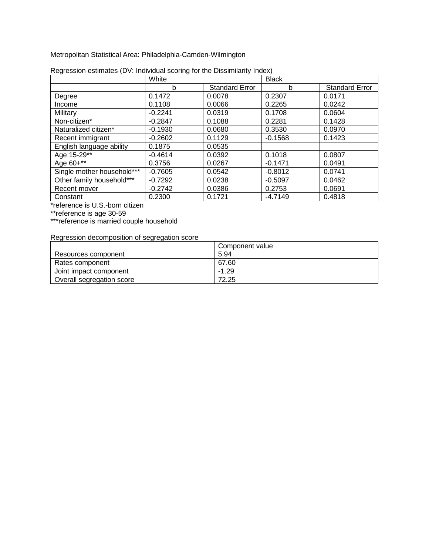Metropolitan Statistical Area: Philadelphia-Camden-Wilmington

|                            | White     |                       | <b>Black</b> |                       |
|----------------------------|-----------|-----------------------|--------------|-----------------------|
|                            | b         | <b>Standard Error</b> | b            | <b>Standard Error</b> |
| Degree                     | 0.1472    | 0.0078                | 0.2307       | 0.0171                |
| Income                     | 0.1108    | 0.0066                | 0.2265       | 0.0242                |
| Military                   | $-0.2241$ | 0.0319                | 0.1708       | 0.0604                |
| Non-citizen*               | $-0.2847$ | 0.1088                | 0.2281       | 0.1428                |
| Naturalized citizen*       | $-0.1930$ | 0.0680                | 0.3530       | 0.0970                |
| Recent immigrant           | $-0.2602$ | 0.1129                | $-0.1568$    | 0.1423                |
| English language ability   | 0.1875    | 0.0535                |              |                       |
| Age 15-29**                | $-0.4614$ | 0.0392                | 0.1018       | 0.0807                |
| Age 60+**                  | 0.3756    | 0.0267                | $-0.1471$    | 0.0491                |
| Single mother household*** | $-0.7605$ | 0.0542                | $-0.8012$    | 0.0741                |
| Other family household***  | $-0.7292$ | 0.0238                | $-0.5097$    | 0.0462                |
| Recent mover               | $-0.2742$ | 0.0386                | 0.2753       | 0.0691                |
| Constant                   | 0.2300    | 0.1721                | $-4.7149$    | 0.4818                |

| Regression estimates (DV: Individual scoring for the Dissimilarity Index) |  |  |
|---------------------------------------------------------------------------|--|--|
|                                                                           |  |  |

\*reference is U.S.-born citizen

\*\*reference is age 30-59

\*\*\*reference is married couple household

|                           | Component value |
|---------------------------|-----------------|
| Resources component       | 5.94            |
| Rates component           | 67.60           |
| Joint impact component    | $-1.29$         |
| Overall segregation score | 72.25           |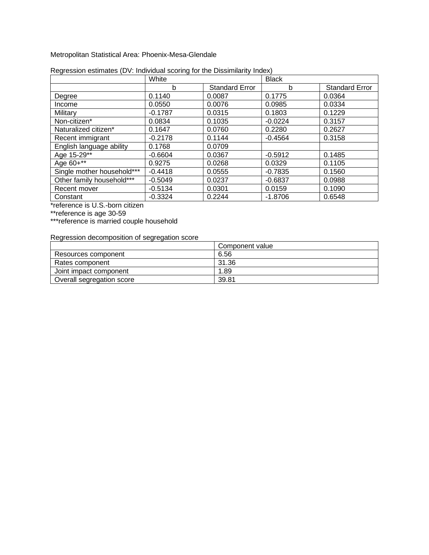Metropolitan Statistical Area: Phoenix-Mesa-Glendale

|                            | White     |                       | <b>Black</b> |                       |
|----------------------------|-----------|-----------------------|--------------|-----------------------|
|                            | b         | <b>Standard Error</b> | b            | <b>Standard Error</b> |
| Degree                     | 0.1140    | 0.0087                | 0.1775       | 0.0364                |
| Income                     | 0.0550    | 0.0076                | 0.0985       | 0.0334                |
| Military                   | $-0.1787$ | 0.0315                | 0.1803       | 0.1229                |
| Non-citizen*               | 0.0834    | 0.1035                | $-0.0224$    | 0.3157                |
| Naturalized citizen*       | 0.1647    | 0.0760                | 0.2280       | 0.2627                |
| Recent immigrant           | $-0.2178$ | 0.1144                | $-0.4564$    | 0.3158                |
| English language ability   | 0.1768    | 0.0709                |              |                       |
| Age 15-29**                | $-0.6604$ | 0.0367                | $-0.5912$    | 0.1485                |
| Age 60+**                  | 0.9275    | 0.0268                | 0.0329       | 0.1105                |
| Single mother household*** | $-0.4418$ | 0.0555                | $-0.7835$    | 0.1560                |
| Other family household***  | $-0.5049$ | 0.0237                | $-0.6837$    | 0.0988                |
| Recent mover               | $-0.5134$ | 0.0301                | 0.0159       | 0.1090                |
| Constant                   | $-0.3324$ | 0.2244                | $-1.8706$    | 0.6548                |

| Regression estimates (DV: Individual scoring for the Dissimilarity Index) |  |  |  |
|---------------------------------------------------------------------------|--|--|--|
|                                                                           |  |  |  |

\*reference is U.S.-born citizen

\*\*reference is age 30-59

\*\*\*reference is married couple household

|                           | Component value |
|---------------------------|-----------------|
| Resources component       | 6.56            |
| Rates component           | 31.36           |
| Joint impact component    | 1.89            |
| Overall segregation score | 39.81           |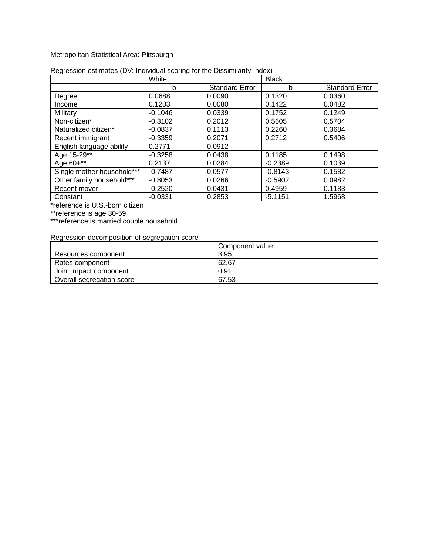#### Metropolitan Statistical Area: Pittsburgh

|                            | White     |                       | <b>Black</b> |                       |
|----------------------------|-----------|-----------------------|--------------|-----------------------|
|                            | b         | <b>Standard Error</b> | b            | <b>Standard Error</b> |
| Degree                     | 0.0688    | 0.0090                | 0.1320       | 0.0360                |
| Income                     | 0.1203    | 0.0080                | 0.1422       | 0.0482                |
| Military                   | $-0.1046$ | 0.0339                | 0.1752       | 0.1249                |
| Non-citizen*               | $-0.3102$ | 0.2012                | 0.5605       | 0.5704                |
| Naturalized citizen*       | $-0.0837$ | 0.1113                | 0.2260       | 0.3684                |
| Recent immigrant           | $-0.3359$ | 0.2071                | 0.2712       | 0.5406                |
| English language ability   | 0.2771    | 0.0912                |              |                       |
| Age 15-29**                | $-0.3258$ | 0.0438                | 0.1185       | 0.1498                |
| Age 60+**                  | 0.2137    | 0.0284                | $-0.2389$    | 0.1039                |
| Single mother household*** | $-0.7487$ | 0.0577                | $-0.8143$    | 0.1582                |
| Other family household***  | $-0.8053$ | 0.0266                | $-0.5902$    | 0.0982                |
| Recent mover               | $-0.2520$ | 0.0431                | 0.4959       | 0.1183                |
| Constant                   | $-0.0331$ | 0.2853                | $-5.1151$    | 1.5968                |

#### Regression estimates (DV: Individual scoring for the Dissimilarity Index)

\*reference is U.S.-born citizen

\*\*reference is age 30-59

\*\*\*reference is married couple household

|                           | Component value |
|---------------------------|-----------------|
| Resources component       | 3.95            |
| Rates component           | 62.67           |
| Joint impact component    | 0.91            |
| Overall segregation score | 67.53           |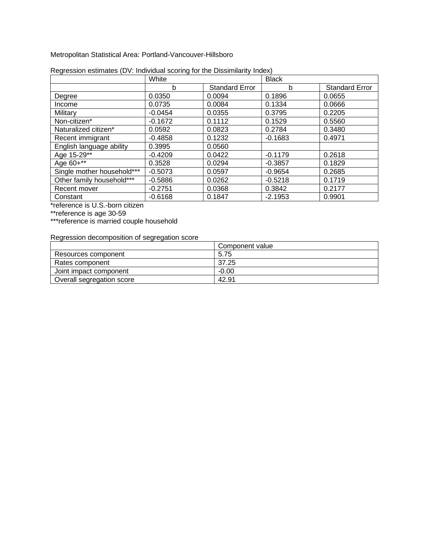Metropolitan Statistical Area: Portland-Vancouver-Hillsboro

|                            | White     |                       | <b>Black</b> |                       |
|----------------------------|-----------|-----------------------|--------------|-----------------------|
|                            | b         | <b>Standard Error</b> | b            | <b>Standard Error</b> |
| Degree                     | 0.0350    | 0.0094                | 0.1896       | 0.0655                |
| Income                     | 0.0735    | 0.0084                | 0.1334       | 0.0666                |
| Military                   | $-0.0454$ | 0.0355                | 0.3795       | 0.2205                |
| Non-citizen*               | $-0.1672$ | 0.1112                | 0.1529       | 0.5560                |
| Naturalized citizen*       | 0.0592    | 0.0823                | 0.2784       | 0.3480                |
| Recent immigrant           | $-0.4858$ | 0.1232                | $-0.1683$    | 0.4971                |
| English language ability   | 0.3995    | 0.0560                |              |                       |
| Age 15-29**                | $-0.4209$ | 0.0422                | $-0.1179$    | 0.2618                |
| Age 60+**                  | 0.3528    | 0.0294                | $-0.3857$    | 0.1829                |
| Single mother household*** | $-0.5073$ | 0.0597                | $-0.9654$    | 0.2685                |
| Other family household***  | $-0.5886$ | 0.0262                | $-0.5218$    | 0.1719                |
| Recent mover               | $-0.2751$ | 0.0368                | 0.3842       | 0.2177                |
| Constant                   | $-0.6168$ | 0.1847                | $-2.1953$    | 0.9901                |

| Regression estimates (DV: Individual scoring for the Dissimilarity Index) |  |  |
|---------------------------------------------------------------------------|--|--|
|                                                                           |  |  |

\*reference is U.S.-born citizen

\*\*reference is age 30-59

\*\*\*reference is married couple household

|                           | Component value |
|---------------------------|-----------------|
| Resources component       | 5.75            |
| Rates component           | 37.25           |
| Joint impact component    | $-0.00$         |
| Overall segregation score | 42.91           |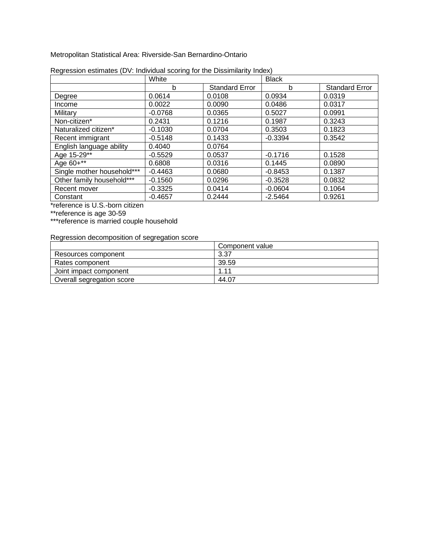Metropolitan Statistical Area: Riverside-San Bernardino-Ontario

|                            | White     |                       | <b>Black</b> |                       |
|----------------------------|-----------|-----------------------|--------------|-----------------------|
|                            | b         | <b>Standard Error</b> | b            | <b>Standard Error</b> |
| Degree                     | 0.0614    | 0.0108                | 0.0934       | 0.0319                |
| Income                     | 0.0022    | 0.0090                | 0.0486       | 0.0317                |
| Military                   | $-0.0768$ | 0.0365                | 0.5027       | 0.0991                |
| Non-citizen*               | 0.2431    | 0.1216                | 0.1987       | 0.3243                |
| Naturalized citizen*       | $-0.1030$ | 0.0704                | 0.3503       | 0.1823                |
| Recent immigrant           | $-0.5148$ | 0.1433                | $-0.3394$    | 0.3542                |
| English language ability   | 0.4040    | 0.0764                |              |                       |
| Age 15-29**                | $-0.5529$ | 0.0537                | $-0.1716$    | 0.1528                |
| Age 60+**                  | 0.6808    | 0.0316                | 0.1445       | 0.0890                |
| Single mother household*** | $-0.4463$ | 0.0680                | $-0.8453$    | 0.1387                |
| Other family household***  | $-0.1560$ | 0.0296                | $-0.3528$    | 0.0832                |
| Recent mover               | $-0.3325$ | 0.0414                | $-0.0604$    | 0.1064                |
| Constant                   | $-0.4657$ | 0.2444                | $-2.5464$    | 0.9261                |

| Regression estimates (DV: Individual scoring for the Dissimilarity Index) |  |  |
|---------------------------------------------------------------------------|--|--|
|                                                                           |  |  |

\*reference is U.S.-born citizen

\*\*reference is age 30-59

\*\*\*reference is married couple household

|                           | Component value |
|---------------------------|-----------------|
| Resources component       | 3.37            |
| Rates component           | 39.59           |
| Joint impact component    | 1.11            |
| Overall segregation score | 44.07           |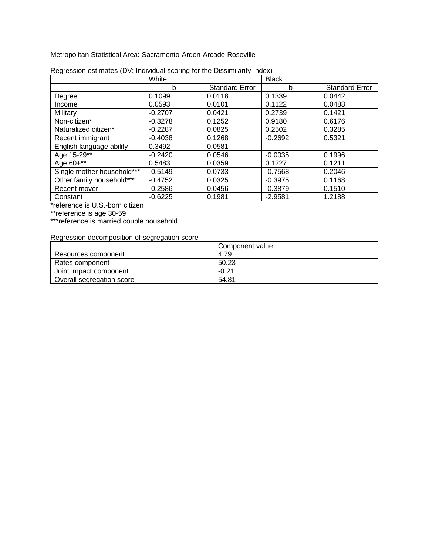Metropolitan Statistical Area: Sacramento-Arden-Arcade-Roseville

|                            | White     |                       | <b>Black</b> |                       |
|----------------------------|-----------|-----------------------|--------------|-----------------------|
|                            | b         | <b>Standard Error</b> | b            | <b>Standard Error</b> |
| Degree                     | 0.1099    | 0.0118                | 0.1339       | 0.0442                |
| Income                     | 0.0593    | 0.0101                | 0.1122       | 0.0488                |
| Military                   | $-0.2707$ | 0.0421                | 0.2739       | 0.1421                |
| Non-citizen*               | $-0.3278$ | 0.1252                | 0.9180       | 0.6176                |
| Naturalized citizen*       | $-0.2287$ | 0.0825                | 0.2502       | 0.3285                |
| Recent immigrant           | $-0.4038$ | 0.1268                | $-0.2692$    | 0.5321                |
| English language ability   | 0.3492    | 0.0581                |              |                       |
| Age 15-29**                | $-0.2420$ | 0.0546                | $-0.0035$    | 0.1996                |
| Age 60+**                  | 0.5483    | 0.0359                | 0.1227       | 0.1211                |
| Single mother household*** | $-0.5149$ | 0.0733                | $-0.7568$    | 0.2046                |
| Other family household***  | $-0.4752$ | 0.0325                | $-0.3975$    | 0.1168                |
| Recent mover               | $-0.2586$ | 0.0456                | $-0.3879$    | 0.1510                |
| Constant                   | $-0.6225$ | 0.1981                | $-2.9581$    | 1.2188                |

| Regression estimates (DV: Individual scoring for the Dissimilarity Index) |  |  |
|---------------------------------------------------------------------------|--|--|
|                                                                           |  |  |

\*reference is U.S.-born citizen

\*\*reference is age 30-59

\*\*\*reference is married couple household

|                           | Component value |
|---------------------------|-----------------|
| Resources component       | 4.79            |
| Rates component           | 50.23           |
| Joint impact component    | $-0.21$         |
| Overall segregation score | 54.81           |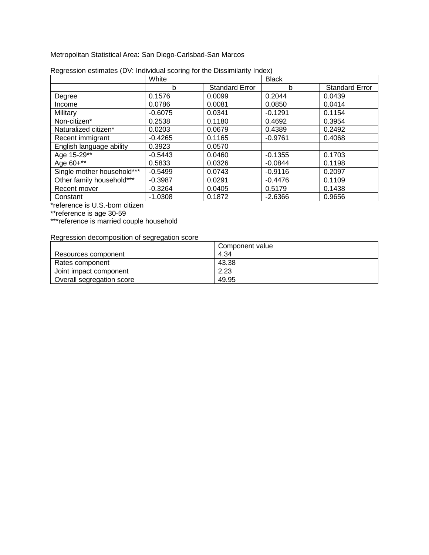Metropolitan Statistical Area: San Diego-Carlsbad-San Marcos

|                            | White     |                       | <b>Black</b> |                       |
|----------------------------|-----------|-----------------------|--------------|-----------------------|
|                            | b         | <b>Standard Error</b> | b            | <b>Standard Error</b> |
| Degree                     | 0.1576    | 0.0099                | 0.2044       | 0.0439                |
| Income                     | 0.0786    | 0.0081                | 0.0850       | 0.0414                |
| Military                   | $-0.6075$ | 0.0341                | $-0.1291$    | 0.1154                |
| Non-citizen*               | 0.2538    | 0.1180                | 0.4692       | 0.3954                |
| Naturalized citizen*       | 0.0203    | 0.0679                | 0.4389       | 0.2492                |
| Recent immigrant           | $-0.4265$ | 0.1165                | $-0.9761$    | 0.4068                |
| English language ability   | 0.3923    | 0.0570                |              |                       |
| Age 15-29**                | $-0.5443$ | 0.0460                | $-0.1355$    | 0.1703                |
| Age 60+**                  | 0.5833    | 0.0326                | $-0.0844$    | 0.1198                |
| Single mother household*** | $-0.5499$ | 0.0743                | $-0.9116$    | 0.2097                |
| Other family household***  | $-0.3987$ | 0.0291                | $-0.4476$    | 0.1109                |
| Recent mover               | $-0.3264$ | 0.0405                | 0.5179       | 0.1438                |
| Constant                   | $-1.0308$ | 0.1872                | $-2.6366$    | 0.9656                |

| Regression estimates (DV: Individual scoring for the Dissimilarity Index) |  |  |
|---------------------------------------------------------------------------|--|--|
|                                                                           |  |  |

\*reference is U.S.-born citizen

\*\*reference is age 30-59

\*\*\*reference is married couple household

|                           | Component value |
|---------------------------|-----------------|
| Resources component       | 4.34            |
| Rates component           | 43.38           |
| Joint impact component    | 2.23            |
| Overall segregation score | 49.95           |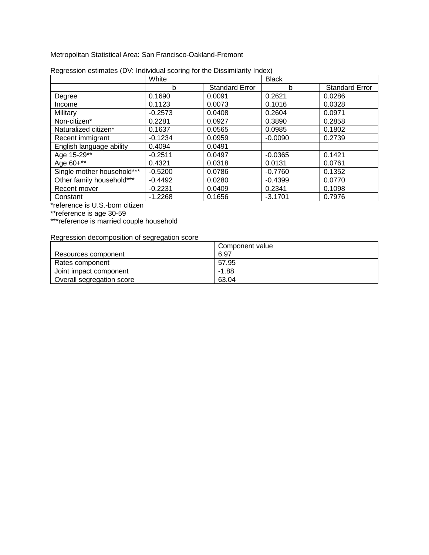Metropolitan Statistical Area: San Francisco-Oakland-Fremont

|                            | White     |                       | <b>Black</b> |                       |
|----------------------------|-----------|-----------------------|--------------|-----------------------|
|                            | b         | <b>Standard Error</b> | b            | <b>Standard Error</b> |
| Degree                     | 0.1690    | 0.0091                | 0.2621       | 0.0286                |
| Income                     | 0.1123    | 0.0073                | 0.1016       | 0.0328                |
| Military                   | $-0.2573$ | 0.0408                | 0.2604       | 0.0971                |
| Non-citizen*               | 0.2281    | 0.0927                | 0.3890       | 0.2858                |
| Naturalized citizen*       | 0.1637    | 0.0565                | 0.0985       | 0.1802                |
| Recent immigrant           | $-0.1234$ | 0.0959                | $-0.0090$    | 0.2739                |
| English language ability   | 0.4094    | 0.0491                |              |                       |
| Age 15-29**                | $-0.2511$ | 0.0497                | $-0.0365$    | 0.1421                |
| Age 60+**                  | 0.4321    | 0.0318                | 0.0131       | 0.0761                |
| Single mother household*** | $-0.5200$ | 0.0786                | $-0.7760$    | 0.1352                |
| Other family household***  | $-0.4492$ | 0.0280                | $-0.4399$    | 0.0770                |
| Recent mover               | $-0.2231$ | 0.0409                | 0.2341       | 0.1098                |
| Constant                   | $-1.2268$ | 0.1656                | $-3.1701$    | 0.7976                |

| Regression estimates (DV: Individual scoring for the Dissimilarity Index) |  |  |
|---------------------------------------------------------------------------|--|--|
|                                                                           |  |  |

\*reference is U.S.-born citizen

\*\*reference is age 30-59

\*\*\*reference is married couple household

|                           | Component value |
|---------------------------|-----------------|
| Resources component       | 6.97            |
| Rates component           | 57.95           |
| Joint impact component    | $-1.88$         |
| Overall segregation score | 63.04           |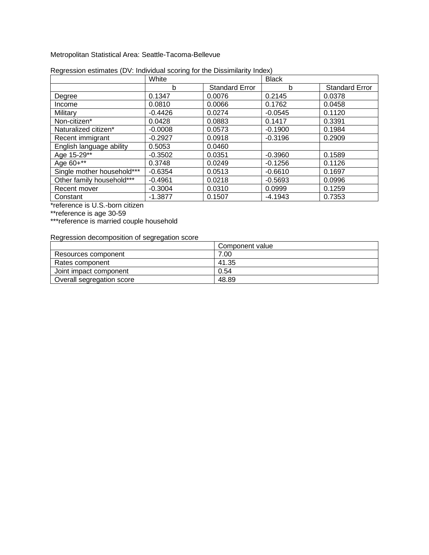Metropolitan Statistical Area: Seattle-Tacoma-Bellevue

|                            | White     |                       | <b>Black</b> |                       |
|----------------------------|-----------|-----------------------|--------------|-----------------------|
|                            | b         | <b>Standard Error</b> | b            | <b>Standard Error</b> |
| Degree                     | 0.1347    | 0.0076                | 0.2145       | 0.0378                |
| Income                     | 0.0810    | 0.0066                | 0.1762       | 0.0458                |
| Military                   | $-0.4426$ | 0.0274                | $-0.0545$    | 0.1120                |
| Non-citizen*               | 0.0428    | 0.0883                | 0.1417       | 0.3391                |
| Naturalized citizen*       | $-0.0008$ | 0.0573                | $-0.1900$    | 0.1984                |
| Recent immigrant           | $-0.2927$ | 0.0918                | $-0.3196$    | 0.2909                |
| English language ability   | 0.5053    | 0.0460                |              |                       |
| Age 15-29**                | $-0.3502$ | 0.0351                | $-0.3960$    | 0.1589                |
| Age 60+**                  | 0.3748    | 0.0249                | $-0.1256$    | 0.1126                |
| Single mother household*** | $-0.6354$ | 0.0513                | $-0.6610$    | 0.1697                |
| Other family household***  | $-0.4961$ | 0.0218                | $-0.5693$    | 0.0996                |
| Recent mover               | $-0.3004$ | 0.0310                | 0.0999       | 0.1259                |
| Constant                   | $-1.3877$ | 0.1507                | $-4.1943$    | 0.7353                |

| Regression estimates (DV: Individual scoring for the Dissimilarity Index) |  |
|---------------------------------------------------------------------------|--|
|                                                                           |  |

\*reference is U.S.-born citizen

\*\*reference is age 30-59

\*\*\*reference is married couple household

|                           | Component value |
|---------------------------|-----------------|
| Resources component       | 7.00            |
| Rates component           | 41.35           |
| Joint impact component    | 0.54            |
| Overall segregation score | 48.89           |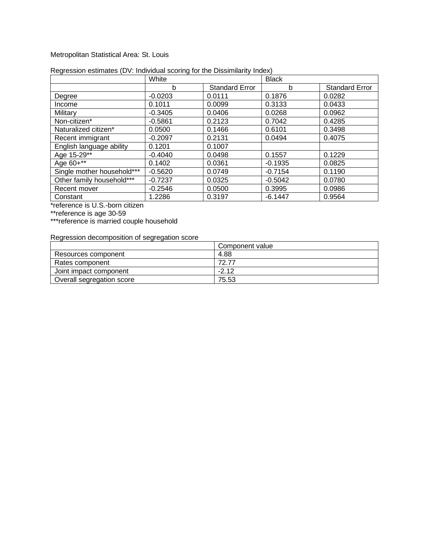#### Metropolitan Statistical Area: St. Louis

|                            | White     |                       | <b>Black</b> |                       |
|----------------------------|-----------|-----------------------|--------------|-----------------------|
|                            | b         | <b>Standard Error</b> | b            | <b>Standard Error</b> |
| Degree                     | $-0.0203$ | 0.0111                | 0.1876       | 0.0282                |
| Income                     | 0.1011    | 0.0099                | 0.3133       | 0.0433                |
| Military                   | $-0.3405$ | 0.0406                | 0.0268       | 0.0962                |
| Non-citizen*               | $-0.5861$ | 0.2123                | 0.7042       | 0.4285                |
| Naturalized citizen*       | 0.0500    | 0.1466                | 0.6101       | 0.3498                |
| Recent immigrant           | $-0.2097$ | 0.2131                | 0.0494       | 0.4075                |
| English language ability   | 0.1201    | 0.1007                |              |                       |
| Age 15-29**                | $-0.4040$ | 0.0498                | 0.1557       | 0.1229                |
| Age 60+**                  | 0.1402    | 0.0361                | $-0.1935$    | 0.0825                |
| Single mother household*** | $-0.5620$ | 0.0749                | $-0.7154$    | 0.1190                |
| Other family household***  | $-0.7237$ | 0.0325                | $-0.5042$    | 0.0780                |
| Recent mover               | $-0.2546$ | 0.0500                | 0.3995       | 0.0986                |
| Constant                   | 1.2286    | 0.3197                | $-6.1447$    | 0.9564                |

#### Regression estimates (DV: Individual scoring for the Dissimilarity Index)

\*reference is U.S.-born citizen

\*\*reference is age 30-59

\*\*\*reference is married couple household

|                           | Component value |
|---------------------------|-----------------|
| Resources component       | 4.88            |
| Rates component           | 72 77           |
| Joint impact component    | $-2.12$         |
| Overall segregation score | 75.53           |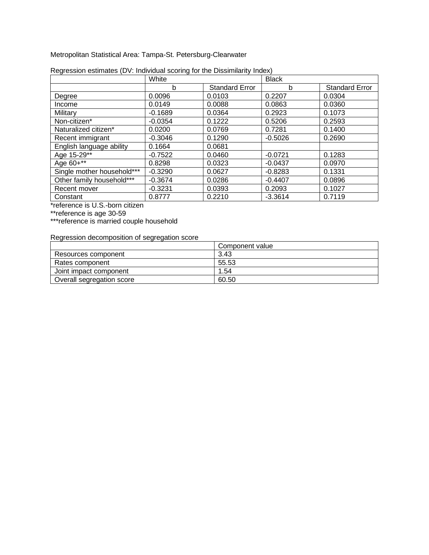Metropolitan Statistical Area: Tampa-St. Petersburg-Clearwater

|                            | White     |                       | <b>Black</b> |                       |
|----------------------------|-----------|-----------------------|--------------|-----------------------|
|                            | b         | <b>Standard Error</b> | b            | <b>Standard Error</b> |
| Degree                     | 0.0096    | 0.0103                | 0.2207       | 0.0304                |
| Income                     | 0.0149    | 0.0088                | 0.0863       | 0.0360                |
| Military                   | $-0.1689$ | 0.0364                | 0.2923       | 0.1073                |
| Non-citizen*               | $-0.0354$ | 0.1222                | 0.5206       | 0.2593                |
| Naturalized citizen*       | 0.0200    | 0.0769                | 0.7281       | 0.1400                |
| Recent immigrant           | $-0.3046$ | 0.1290                | $-0.5026$    | 0.2690                |
| English language ability   | 0.1664    | 0.0681                |              |                       |
| Age 15-29**                | $-0.7522$ | 0.0460                | $-0.0721$    | 0.1283                |
| Age 60+**                  | 0.8298    | 0.0323                | $-0.0437$    | 0.0970                |
| Single mother household*** | $-0.3290$ | 0.0627                | $-0.8283$    | 0.1331                |
| Other family household***  | $-0.3674$ | 0.0286                | $-0.4407$    | 0.0896                |
| Recent mover               | $-0.3231$ | 0.0393                | 0.2093       | 0.1027                |
| Constant                   | 0.8777    | 0.2210                | $-3.3614$    | 0.7119                |

| Regression estimates (DV: Individual scoring for the Dissimilarity Index) |  |  |
|---------------------------------------------------------------------------|--|--|
|                                                                           |  |  |

\*reference is U.S.-born citizen

\*\*reference is age 30-59

\*\*\*reference is married couple household

|                           | Component value |
|---------------------------|-----------------|
| Resources component       | 3.43            |
| Rates component           | 55.53           |
| Joint impact component    | .54             |
| Overall segregation score | 60.50           |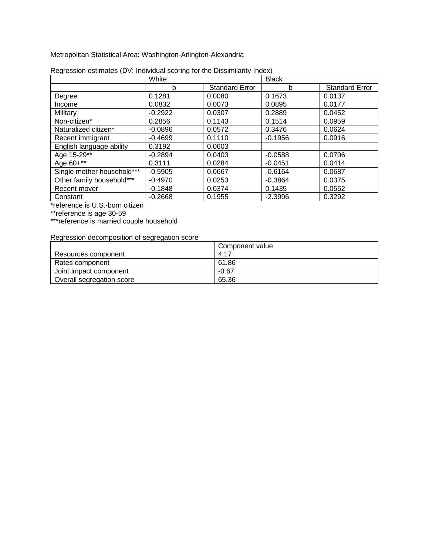Metropolitan Statistical Area: Washington-Arlington-Alexandria

|                            | White     |                       | <b>Black</b> |                       |
|----------------------------|-----------|-----------------------|--------------|-----------------------|
|                            | b         | <b>Standard Error</b> | b            | <b>Standard Error</b> |
| Degree                     | 0.1281    | 0.0080                | 0.1673       | 0.0137                |
| Income                     | 0.0832    | 0.0073                | 0.0895       | 0.0177                |
| Military                   | $-0.2922$ | 0.0307                | 0.2889       | 0.0452                |
| Non-citizen*               | 0.2856    | 0.1143                | 0.1514       | 0.0959                |
| Naturalized citizen*       | $-0.0896$ | 0.0572                | 0.3476       | 0.0624                |
| Recent immigrant           | $-0.4699$ | 0.1110                | $-0.1956$    | 0.0916                |
| English language ability   | 0.3192    | 0.0603                |              |                       |
| Age 15-29**                | $-0.2894$ | 0.0403                | $-0.0588$    | 0.0706                |
| Age 60+**                  | 0.3111    | 0.0284                | $-0.0451$    | 0.0414                |
| Single mother household*** | $-0.5905$ | 0.0667                | $-0.6164$    | 0.0687                |
| Other family household***  | $-0.4970$ | 0.0253                | $-0.3864$    | 0.0375                |
| Recent mover               | $-0.1848$ | 0.0374                | 0.1435       | 0.0552                |
| Constant                   | $-0.2668$ | 0.1955                | $-2.3996$    | 0.3292                |

| Regression estimates (DV: Individual scoring for the Dissimilarity Index) |  |  |
|---------------------------------------------------------------------------|--|--|
|                                                                           |  |  |

\*reference is U.S.-born citizen

\*\*reference is age 30-59

\*\*\*reference is married couple household

|                           | Component value |
|---------------------------|-----------------|
| Resources component       | 4.17            |
| Rates component           | 61.86           |
| Joint impact component    | $-0.67$         |
| Overall segregation score | 65.36           |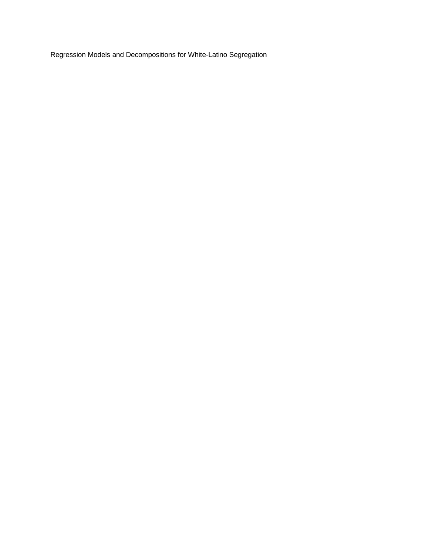Regression Models and Decompositions for White-Latino Segregation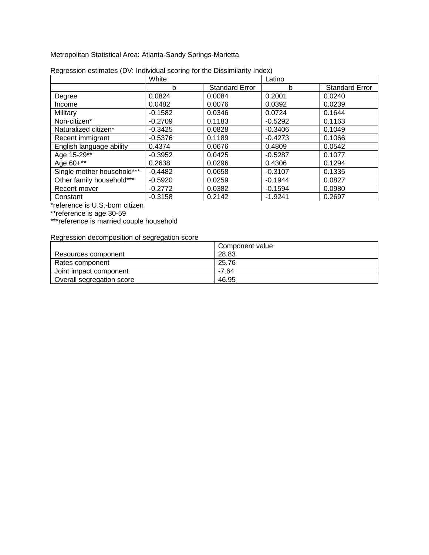Metropolitan Statistical Area: Atlanta-Sandy Springs-Marietta

|                            | White     |                       | Latino    |                       |
|----------------------------|-----------|-----------------------|-----------|-----------------------|
|                            | b         | <b>Standard Error</b> | b         | <b>Standard Error</b> |
| Degree                     | 0.0824    | 0.0084                | 0.2001    | 0.0240                |
| Income                     | 0.0482    | 0.0076                | 0.0392    | 0.0239                |
| Military                   | $-0.1582$ | 0.0346                | 0.0724    | 0.1644                |
| Non-citizen*               | $-0.2709$ | 0.1183                | $-0.5292$ | 0.1163                |
| Naturalized citizen*       | $-0.3425$ | 0.0828                | $-0.3406$ | 0.1049                |
| Recent immigrant           | $-0.5376$ | 0.1189                | $-0.4273$ | 0.1066                |
| English language ability   | 0.4374    | 0.0676                | 0.4809    | 0.0542                |
| Age 15-29**                | $-0.3952$ | 0.0425                | $-0.5287$ | 0.1077                |
| Age 60+**                  | 0.2638    | 0.0296                | 0.4306    | 0.1294                |
| Single mother household*** | $-0.4482$ | 0.0658                | $-0.3107$ | 0.1335                |
| Other family household***  | $-0.5920$ | 0.0259                | $-0.1944$ | 0.0827                |
| Recent mover               | $-0.2772$ | 0.0382                | $-0.1594$ | 0.0980                |
| Constant                   | $-0.3158$ | 0.2142                | $-1.9241$ | 0.2697                |

| Regression estimates (DV: Individual scoring for the Dissimilarity Index) |
|---------------------------------------------------------------------------|
|---------------------------------------------------------------------------|

\*reference is U.S.-born citizen

\*\*reference is age 30-59

\*\*\*reference is married couple household

|                           | Component value |
|---------------------------|-----------------|
| Resources component       | 28.83           |
| Rates component           | 25.76           |
| Joint impact component    | -7.64           |
| Overall segregation score | 46.95           |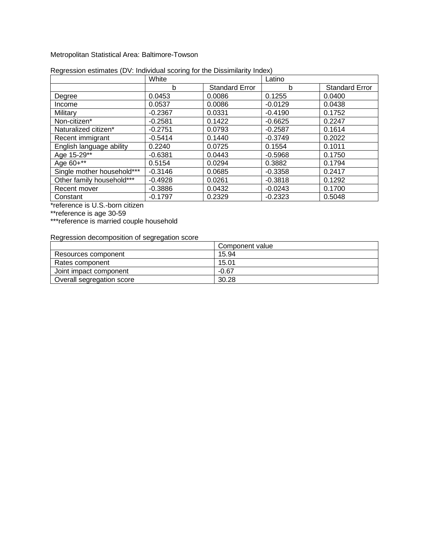#### Metropolitan Statistical Area: Baltimore-Towson

|                            | White     |                       | Latino    |                       |
|----------------------------|-----------|-----------------------|-----------|-----------------------|
|                            | b         | <b>Standard Error</b> | b         | <b>Standard Error</b> |
| Degree                     | 0.0453    | 0.0086                | 0.1255    | 0.0400                |
| Income                     | 0.0537    | 0.0086                | $-0.0129$ | 0.0438                |
| Military                   | $-0.2367$ | 0.0331                | $-0.4190$ | 0.1752                |
| Non-citizen*               | $-0.2581$ | 0.1422                | $-0.6625$ | 0.2247                |
| Naturalized citizen*       | $-0.2751$ | 0.0793                | $-0.2587$ | 0.1614                |
| Recent immigrant           | $-0.5414$ | 0.1440                | $-0.3749$ | 0.2022                |
| English language ability   | 0.2240    | 0.0725                | 0.1554    | 0.1011                |
| Age 15-29**                | $-0.6381$ | 0.0443                | $-0.5968$ | 0.1750                |
| Age 60+**                  | 0.5154    | 0.0294                | 0.3882    | 0.1794                |
| Single mother household*** | $-0.3146$ | 0.0685                | $-0.3358$ | 0.2417                |
| Other family household***  | $-0.4928$ | 0.0261                | $-0.3818$ | 0.1292                |
| Recent mover               | $-0.3886$ | 0.0432                | $-0.0243$ | 0.1700                |
| Constant                   | $-0.1797$ | 0.2329                | $-0.2323$ | 0.5048                |

# Regression estimates (DV: Individual scoring for the Dissimilarity Index)

\*reference is U.S.-born citizen

\*\*reference is age 30-59

\*\*\*reference is married couple household

|                           | Component value |
|---------------------------|-----------------|
| Resources component       | 15.94           |
| Rates component           | 15.01           |
| Joint impact component    | $-0.67$         |
| Overall segregation score | 30.28           |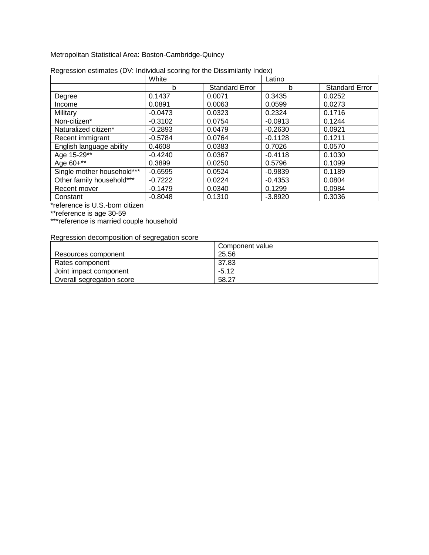Metropolitan Statistical Area: Boston-Cambridge-Quincy

|                            | White     |                       | Latino    |                       |
|----------------------------|-----------|-----------------------|-----------|-----------------------|
|                            | b         | <b>Standard Error</b> | b         | <b>Standard Error</b> |
| Degree                     | 0.1437    | 0.0071                | 0.3435    | 0.0252                |
| Income                     | 0.0891    | 0.0063                | 0.0599    | 0.0273                |
| Military                   | $-0.0473$ | 0.0323                | 0.2324    | 0.1716                |
| Non-citizen*               | $-0.3102$ | 0.0754                | $-0.0913$ | 0.1244                |
| Naturalized citizen*       | $-0.2893$ | 0.0479                | $-0.2630$ | 0.0921                |
| Recent immigrant           | $-0.5784$ | 0.0764                | $-0.1128$ | 0.1211                |
| English language ability   | 0.4608    | 0.0383                | 0.7026    | 0.0570                |
| Age 15-29**                | $-0.4240$ | 0.0367                | $-0.4118$ | 0.1030                |
| Age 60+**                  | 0.3899    | 0.0250                | 0.5796    | 0.1099                |
| Single mother household*** | $-0.6595$ | 0.0524                | $-0.9839$ | 0.1189                |
| Other family household***  | $-0.7222$ | 0.0224                | $-0.4353$ | 0.0804                |
| Recent mover               | $-0.1479$ | 0.0340                | 0.1299    | 0.0984                |
| Constant                   | $-0.8048$ | 0.1310                | $-3.8920$ | 0.3036                |

| Regression estimates (DV: Individual scoring for the Dissimilarity Index) |  |  |  |  |
|---------------------------------------------------------------------------|--|--|--|--|
|                                                                           |  |  |  |  |

\*reference is U.S.-born citizen

\*\*reference is age 30-59

\*\*\*reference is married couple household

|                           | Component value |
|---------------------------|-----------------|
| Resources component       | 25.56           |
| Rates component           | 37.83           |
| Joint impact component    | $-5.12$         |
| Overall segregation score | 58.27           |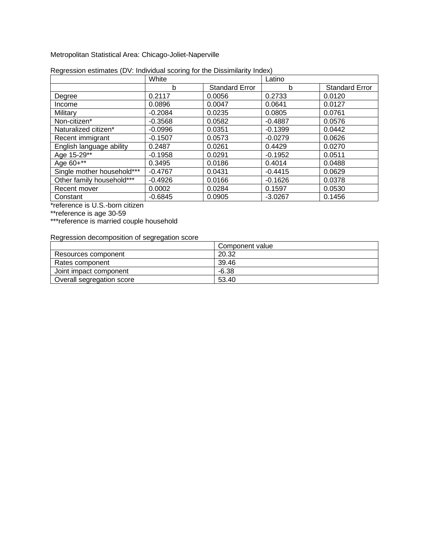Metropolitan Statistical Area: Chicago-Joliet-Naperville

|                            | White     |                       | Latino    |                       |
|----------------------------|-----------|-----------------------|-----------|-----------------------|
|                            | b         | <b>Standard Error</b> | b         | <b>Standard Error</b> |
| Degree                     | 0.2117    | 0.0056                | 0.2733    | 0.0120                |
| Income                     | 0.0896    | 0.0047                | 0.0641    | 0.0127                |
| Military                   | $-0.2084$ | 0.0235                | 0.0805    | 0.0761                |
| Non-citizen*               | $-0.3568$ | 0.0582                | $-0.4887$ | 0.0576                |
| Naturalized citizen*       | $-0.0996$ | 0.0351                | $-0.1399$ | 0.0442                |
| Recent immigrant           | $-0.1507$ | 0.0573                | $-0.0279$ | 0.0626                |
| English language ability   | 0.2487    | 0.0261                | 0.4429    | 0.0270                |
| Age 15-29**                | $-0.1958$ | 0.0291                | $-0.1952$ | 0.0511                |
| Age 60+**                  | 0.3495    | 0.0186                | 0.4014    | 0.0488                |
| Single mother household*** | $-0.4767$ | 0.0431                | $-0.4415$ | 0.0629                |
| Other family household***  | $-0.4926$ | 0.0166                | $-0.1626$ | 0.0378                |
| Recent mover               | 0.0002    | 0.0284                | 0.1597    | 0.0530                |
| Constant                   | $-0.6845$ | 0.0905                | $-3.0267$ | 0.1456                |

| Regression estimates (DV: Individual scoring for the Dissimilarity Index) |  |  |  |  |
|---------------------------------------------------------------------------|--|--|--|--|
|                                                                           |  |  |  |  |

\*reference is U.S.-born citizen

\*\*reference is age 30-59

\*\*\*reference is married couple household

|                           | Component value |
|---------------------------|-----------------|
| Resources component       | 20.32           |
| Rates component           | 39.46           |
| Joint impact component    | $-6.38$         |
| Overall segregation score | 53.40           |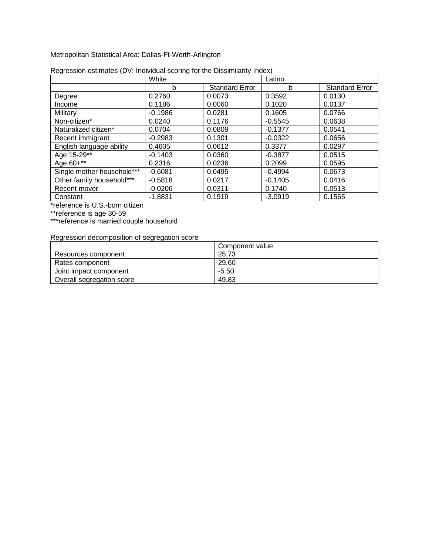Metropolitan Statistical Area: Dallas-Ft-Worth-Arlington

|                            | White     |                       | Latino    |                       |
|----------------------------|-----------|-----------------------|-----------|-----------------------|
|                            | b         | <b>Standard Error</b> | b         | <b>Standard Error</b> |
| Degree                     | 0.2760    | 0.0073                | 0.3592    | 0.0130                |
| Income                     | 0.1186    | 0.0060                | 0.1020    | 0.0137                |
| Military                   | $-0.1986$ | 0.0281                | 0.1605    | 0.0766                |
| Non-citizen*               | 0.0240    | 0.1176                | $-0.5545$ | 0.0638                |
| Naturalized citizen*       | 0.0704    | 0.0809                | $-0.1377$ | 0.0541                |
| Recent immigrant           | $-0.2983$ | 0.1301                | $-0.0322$ | 0.0656                |
| English language ability   | 0.4605    | 0.0612                | 0.3377    | 0.0297                |
| Age 15-29**                | $-0.1403$ | 0.0360                | $-0.3877$ | 0.0515                |
| Age 60+**                  | 0.2316    | 0.0236                | 0.2099    | 0.0595                |
| Single mother household*** | $-0.6081$ | 0.0495                | $-0.4994$ | 0.0673                |
| Other family household***  | $-0.5818$ | 0.0217                | $-0.1405$ | 0.0416                |
| Recent mover               | $-0.0206$ | 0.0311                | 0.1740    | 0.0513                |
| Constant                   | $-1.8831$ | 0.1919                | $-3.0919$ | 0.1565                |

| Regression estimates (DV: Individual scoring for the Dissimilarity Index) |  |  |
|---------------------------------------------------------------------------|--|--|
|                                                                           |  |  |

\*reference is U.S.-born citizen

\*\*reference is age 30-59

\*\*\*reference is married couple household

|                           | Component value |
|---------------------------|-----------------|
| Resources component       | 25.73           |
| Rates component           | 29.60           |
| Joint impact component    | $-5.50$         |
| Overall segregation score | 49.83           |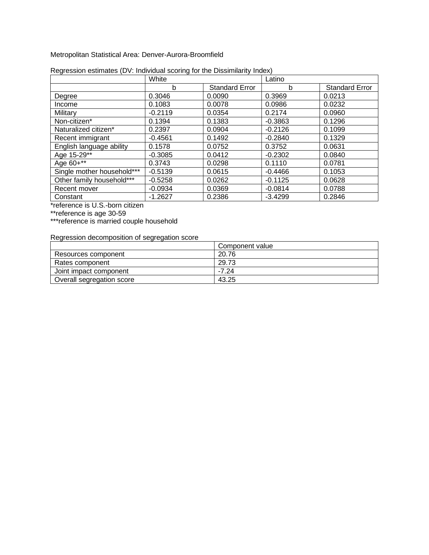Metropolitan Statistical Area: Denver-Aurora-Broomfield

|                            | White     |                       | Latino    |                       |
|----------------------------|-----------|-----------------------|-----------|-----------------------|
|                            | b         | <b>Standard Error</b> | b         | <b>Standard Error</b> |
| Degree                     | 0.3046    | 0.0090                | 0.3969    | 0.0213                |
| Income                     | 0.1083    | 0.0078                | 0.0986    | 0.0232                |
| Military                   | $-0.2119$ | 0.0354                | 0.2174    | 0.0960                |
| Non-citizen*               | 0.1394    | 0.1383                | $-0.3863$ | 0.1296                |
| Naturalized citizen*       | 0.2397    | 0.0904                | $-0.2126$ | 0.1099                |
| Recent immigrant           | $-0.4561$ | 0.1492                | $-0.2840$ | 0.1329                |
| English language ability   | 0.1578    | 0.0752                | 0.3752    | 0.0631                |
| Age 15-29**                | $-0.3085$ | 0.0412                | $-0.2302$ | 0.0840                |
| Age 60+**                  | 0.3743    | 0.0298                | 0.1110    | 0.0781                |
| Single mother household*** | $-0.5139$ | 0.0615                | $-0.4466$ | 0.1053                |
| Other family household***  | $-0.5258$ | 0.0262                | $-0.1125$ | 0.0628                |
| Recent mover               | $-0.0934$ | 0.0369                | $-0.0814$ | 0.0788                |
| Constant                   | $-1.2627$ | 0.2386                | $-3.4299$ | 0.2846                |

| Regression estimates (DV: Individual scoring for the Dissimilarity Index) |  |  |
|---------------------------------------------------------------------------|--|--|
|                                                                           |  |  |

\*reference is U.S.-born citizen

\*\*reference is age 30-59

\*\*\*reference is married couple household

|                           | Component value |
|---------------------------|-----------------|
| Resources component       | 20.76           |
| Rates component           | 29.73           |
| Joint impact component    | $-7.24$         |
| Overall segregation score | 43.25           |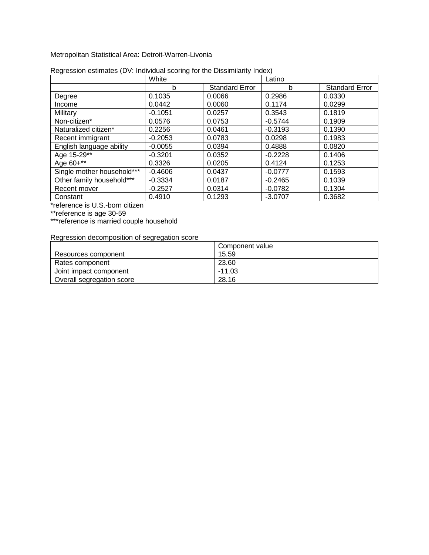Metropolitan Statistical Area: Detroit-Warren-Livonia

|                            | White     |                       | Latino    |                       |
|----------------------------|-----------|-----------------------|-----------|-----------------------|
|                            | b         | <b>Standard Error</b> | b         | <b>Standard Error</b> |
| Degree                     | 0.1035    | 0.0066                | 0.2986    | 0.0330                |
| Income                     | 0.0442    | 0.0060                | 0.1174    | 0.0299                |
| Military                   | $-0.1051$ | 0.0257                | 0.3543    | 0.1819                |
| Non-citizen*               | 0.0576    | 0.0753                | $-0.5744$ | 0.1909                |
| Naturalized citizen*       | 0.2256    | 0.0461                | $-0.3193$ | 0.1390                |
| Recent immigrant           | $-0.2053$ | 0.0783                | 0.0298    | 0.1983                |
| English language ability   | $-0.0055$ | 0.0394                | 0.4888    | 0.0820                |
| Age 15-29**                | $-0.3201$ | 0.0352                | $-0.2228$ | 0.1406                |
| Age 60+**                  | 0.3326    | 0.0205                | 0.4124    | 0.1253                |
| Single mother household*** | $-0.4606$ | 0.0437                | $-0.0777$ | 0.1593                |
| Other family household***  | $-0.3334$ | 0.0187                | $-0.2465$ | 0.1039                |
| Recent mover               | $-0.2527$ | 0.0314                | $-0.0782$ | 0.1304                |
| Constant                   | 0.4910    | 0.1293                | $-3.0707$ | 0.3682                |

|  | Regression estimates (DV: Individual scoring for the Dissimilarity Index) |
|--|---------------------------------------------------------------------------|
|  |                                                                           |

\*reference is U.S.-born citizen

\*\*reference is age 30-59

\*\*\*reference is married couple household

|                           | Component value |
|---------------------------|-----------------|
| Resources component       | 15.59           |
| Rates component           | 23.60           |
| Joint impact component    | $-11.03$        |
| Overall segregation score | 28.16           |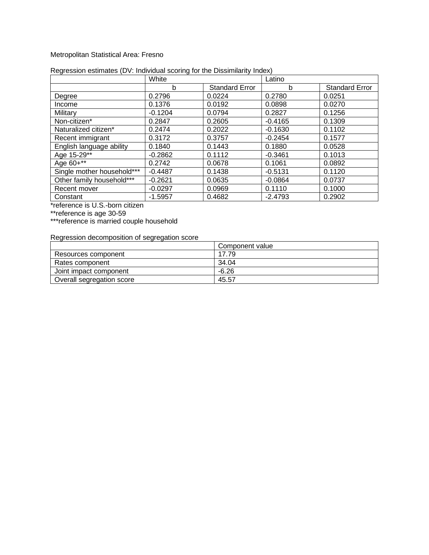#### Metropolitan Statistical Area: Fresno

|                            | White     |                       | Latino    |                       |
|----------------------------|-----------|-----------------------|-----------|-----------------------|
|                            | b         | <b>Standard Error</b> | b         | <b>Standard Error</b> |
| Degree                     | 0.2796    | 0.0224                | 0.2780    | 0.0251                |
| Income                     | 0.1376    | 0.0192                | 0.0898    | 0.0270                |
| Military                   | $-0.1204$ | 0.0794                | 0.2827    | 0.1256                |
| Non-citizen*               | 0.2847    | 0.2605                | $-0.4165$ | 0.1309                |
| Naturalized citizen*       | 0.2474    | 0.2022                | $-0.1630$ | 0.1102                |
| Recent immigrant           | 0.3172    | 0.3757                | $-0.2454$ | 0.1577                |
| English language ability   | 0.1840    | 0.1443                | 0.1880    | 0.0528                |
| Age 15-29**                | $-0.2862$ | 0.1112                | $-0.3461$ | 0.1013                |
| Age 60+**                  | 0.2742    | 0.0678                | 0.1061    | 0.0892                |
| Single mother household*** | $-0.4487$ | 0.1438                | $-0.5131$ | 0.1120                |
| Other family household***  | $-0.2621$ | 0.0635                | $-0.0864$ | 0.0737                |
| Recent mover               | $-0.0297$ | 0.0969                | 0.1110    | 0.1000                |
| Constant                   | $-1.5957$ | 0.4682                | $-2.4793$ | 0.2902                |

#### Regression estimates (DV: Individual scoring for the Dissimilarity Index)

\*reference is U.S.-born citizen

\*\*reference is age 30-59

\*\*\*reference is married couple household

|                           | Component value |
|---------------------------|-----------------|
| Resources component       | 17.79           |
| Rates component           | 34.04           |
| Joint impact component    | $-6.26$         |
| Overall segregation score | 45.57           |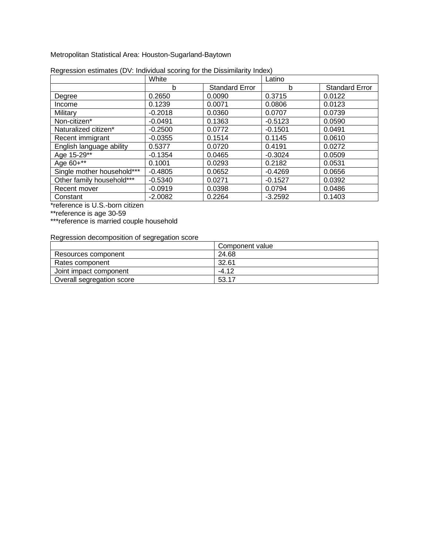Metropolitan Statistical Area: Houston-Sugarland-Baytown

|                            | White     |                       | Latino    |                       |
|----------------------------|-----------|-----------------------|-----------|-----------------------|
|                            | b         | <b>Standard Error</b> | b         | <b>Standard Error</b> |
| Degree                     | 0.2650    | 0.0090                | 0.3715    | 0.0122                |
| Income                     | 0.1239    | 0.0071                | 0.0806    | 0.0123                |
| Military                   | $-0.2018$ | 0.0360                | 0.0707    | 0.0739                |
| Non-citizen*               | $-0.0491$ | 0.1363                | $-0.5123$ | 0.0590                |
| Naturalized citizen*       | $-0.2500$ | 0.0772                | $-0.1501$ | 0.0491                |
| Recent immigrant           | $-0.0355$ | 0.1514                | 0.1145    | 0.0610                |
| English language ability   | 0.5377    | 0.0720                | 0.4191    | 0.0272                |
| Age 15-29**                | $-0.1354$ | 0.0465                | $-0.3024$ | 0.0509                |
| Age 60+**                  | 0.1001    | 0.0293                | 0.2182    | 0.0531                |
| Single mother household*** | $-0.4805$ | 0.0652                | $-0.4269$ | 0.0656                |
| Other family household***  | $-0.5340$ | 0.0271                | $-0.1527$ | 0.0392                |
| Recent mover               | $-0.0919$ | 0.0398                | 0.0794    | 0.0486                |
| Constant                   | $-2.0082$ | 0.2264                | $-3.2592$ | 0.1403                |

| Regression estimates (DV: Individual scoring for the Dissimilarity Index) |  |  |
|---------------------------------------------------------------------------|--|--|
|                                                                           |  |  |

\*reference is U.S.-born citizen

\*\*reference is age 30-59

\*\*\*reference is married couple household

|                           | Component value |
|---------------------------|-----------------|
| Resources component       | 24.68           |
| Rates component           | 32.61           |
| Joint impact component    | $-4.12$         |
| Overall segregation score | 53.17           |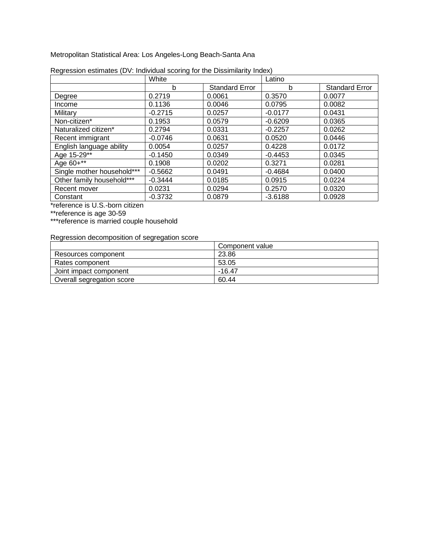Metropolitan Statistical Area: Los Angeles-Long Beach-Santa Ana

|                            | White     |                       | Latino    |                       |
|----------------------------|-----------|-----------------------|-----------|-----------------------|
|                            | b         | <b>Standard Error</b> | b         | <b>Standard Error</b> |
| Degree                     | 0.2719    | 0.0061                | 0.3570    | 0.0077                |
| Income                     | 0.1136    | 0.0046                | 0.0795    | 0.0082                |
| Military                   | $-0.2715$ | 0.0257                | $-0.0177$ | 0.0431                |
| Non-citizen*               | 0.1953    | 0.0579                | $-0.6209$ | 0.0365                |
| Naturalized citizen*       | 0.2794    | 0.0331                | $-0.2257$ | 0.0262                |
| Recent immigrant           | $-0.0746$ | 0.0631                | 0.0520    | 0.0446                |
| English language ability   | 0.0054    | 0.0257                | 0.4228    | 0.0172                |
| Age 15-29**                | $-0.1450$ | 0.0349                | $-0.4453$ | 0.0345                |
| Age 60+**                  | 0.1908    | 0.0202                | 0.3271    | 0.0281                |
| Single mother household*** | $-0.5662$ | 0.0491                | $-0.4684$ | 0.0400                |
| Other family household***  | $-0.3444$ | 0.0185                | 0.0915    | 0.0224                |
| Recent mover               | 0.0231    | 0.0294                | 0.2570    | 0.0320                |
| Constant                   | $-0.3732$ | 0.0879                | $-3.6188$ | 0.0928                |

| Regression estimates (DV: Individual scoring for the Dissimilarity Index) |  |  |
|---------------------------------------------------------------------------|--|--|
|                                                                           |  |  |

\*reference is U.S.-born citizen

\*\*reference is age 30-59

\*\*\*reference is married couple household

|                           | Component value |
|---------------------------|-----------------|
| Resources component       | 23.86           |
| Rates component           | 53.05           |
| Joint impact component    | $-16.47$        |
| Overall segregation score | 60.44           |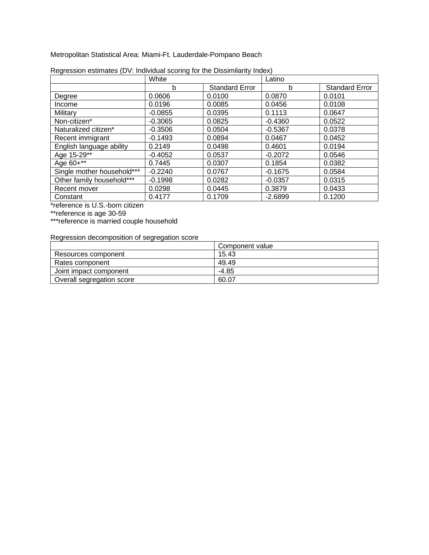Metropolitan Statistical Area: Miami-Ft. Lauderdale-Pompano Beach

|                            | White     |                       | Latino    |                       |
|----------------------------|-----------|-----------------------|-----------|-----------------------|
|                            | b         | <b>Standard Error</b> | b         | <b>Standard Error</b> |
| Degree                     | 0.0606    | 0.0100                | 0.0870    | 0.0101                |
| Income                     | 0.0196    | 0.0085                | 0.0456    | 0.0108                |
| Military                   | $-0.0855$ | 0.0395                | 0.1113    | 0.0647                |
| Non-citizen*               | $-0.3065$ | 0.0825                | $-0.4360$ | 0.0522                |
| Naturalized citizen*       | $-0.3506$ | 0.0504                | $-0.5367$ | 0.0378                |
| Recent immigrant           | $-0.1493$ | 0.0894                | 0.0467    | 0.0452                |
| English language ability   | 0.2149    | 0.0498                | 0.4601    | 0.0194                |
| Age 15-29**                | $-0.4052$ | 0.0537                | $-0.2072$ | 0.0546                |
| Age 60+**                  | 0.7445    | 0.0307                | 0.1854    | 0.0382                |
| Single mother household*** | $-0.2240$ | 0.0767                | $-0.1675$ | 0.0584                |
| Other family household***  | $-0.1998$ | 0.0282                | $-0.0357$ | 0.0315                |
| Recent mover               | 0.0298    | 0.0445                | 0.3879    | 0.0433                |
| Constant                   | 0.4177    | 0.1709                | $-2.6899$ | 0.1200                |

| Regression estimates (DV: Individual scoring for the Dissimilarity Index) |  |  |
|---------------------------------------------------------------------------|--|--|
|                                                                           |  |  |

\*reference is U.S.-born citizen

\*\*reference is age 30-59

\*\*\*reference is married couple household

|                           | Component value |
|---------------------------|-----------------|
| Resources component       | 15.43           |
| Rates component           | 49.49           |
| Joint impact component    | $-4.85$         |
| Overall segregation score | 60.07           |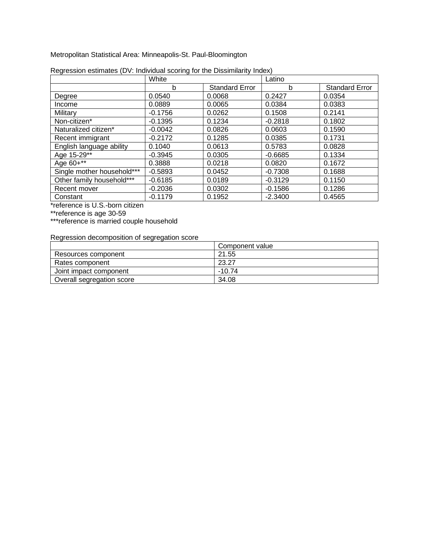Metropolitan Statistical Area: Minneapolis-St. Paul-Bloomington

|                            | White     |                       | Latino    |                       |
|----------------------------|-----------|-----------------------|-----------|-----------------------|
|                            | b         | <b>Standard Error</b> | b         | <b>Standard Error</b> |
| Degree                     | 0.0540    | 0.0068                | 0.2427    | 0.0354                |
| Income                     | 0.0889    | 0.0065                | 0.0384    | 0.0383                |
| Military                   | $-0.1756$ | 0.0262                | 0.1508    | 0.2141                |
| Non-citizen*               | $-0.1395$ | 0.1234                | $-0.2818$ | 0.1802                |
| Naturalized citizen*       | $-0.0042$ | 0.0826                | 0.0603    | 0.1590                |
| Recent immigrant           | $-0.2172$ | 0.1285                | 0.0385    | 0.1731                |
| English language ability   | 0.1040    | 0.0613                | 0.5783    | 0.0828                |
| Age 15-29**                | $-0.3945$ | 0.0305                | $-0.6685$ | 0.1334                |
| Age 60+**                  | 0.3888    | 0.0218                | 0.0820    | 0.1672                |
| Single mother household*** | $-0.5893$ | 0.0452                | $-0.7308$ | 0.1688                |
| Other family household***  | $-0.6185$ | 0.0189                | $-0.3129$ | 0.1150                |
| Recent mover               | $-0.2036$ | 0.0302                | $-0.1586$ | 0.1286                |
| Constant                   | $-0.1179$ | 0.1952                | $-2.3400$ | 0.4565                |

| Regression estimates (DV: Individual scoring for the Dissimilarity Index) |
|---------------------------------------------------------------------------|
|---------------------------------------------------------------------------|

\*reference is U.S.-born citizen

\*\*reference is age 30-59

\*\*\*reference is married couple household

|                           | Component value |
|---------------------------|-----------------|
| Resources component       | 21.55           |
| Rates component           | 23.27           |
| Joint impact component    | $-10.74$        |
| Overall segregation score | 34.08           |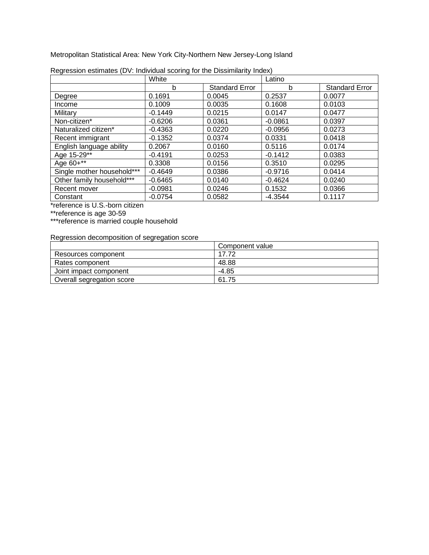Metropolitan Statistical Area: New York City-Northern New Jersey-Long Island

|                            | White     |                       | Latino    |                       |
|----------------------------|-----------|-----------------------|-----------|-----------------------|
|                            | b         | <b>Standard Error</b> | b         | <b>Standard Error</b> |
| Degree                     | 0.1691    | 0.0045                | 0.2537    | 0.0077                |
| Income                     | 0.1009    | 0.0035                | 0.1608    | 0.0103                |
| Military                   | $-0.1449$ | 0.0215                | 0.0147    | 0.0477                |
| Non-citizen*               | $-0.6206$ | 0.0361                | $-0.0861$ | 0.0397                |
| Naturalized citizen*       | $-0.4363$ | 0.0220                | $-0.0956$ | 0.0273                |
| Recent immigrant           | $-0.1352$ | 0.0374                | 0.0331    | 0.0418                |
| English language ability   | 0.2067    | 0.0160                | 0.5116    | 0.0174                |
| Age 15-29**                | $-0.4191$ | 0.0253                | $-0.1412$ | 0.0383                |
| Age 60+**                  | 0.3308    | 0.0156                | 0.3510    | 0.0295                |
| Single mother household*** | $-0.4649$ | 0.0386                | $-0.9716$ | 0.0414                |
| Other family household***  | $-0.6465$ | 0.0140                | $-0.4624$ | 0.0240                |
| Recent mover               | $-0.0981$ | 0.0246                | 0.1532    | 0.0366                |
| Constant                   | $-0.0754$ | 0.0582                | $-4.3544$ | 0.1117                |

| Regression estimates (DV: Individual scoring for the Dissimilarity Index) |  |  |
|---------------------------------------------------------------------------|--|--|
|                                                                           |  |  |

\*reference is U.S.-born citizen

\*\*reference is age 30-59

\*\*\*reference is married couple household

|                           | Component value |
|---------------------------|-----------------|
| Resources component       | 17.72           |
| Rates component           | 48.88           |
| Joint impact component    | $-4.85$         |
| Overall segregation score | 61.75           |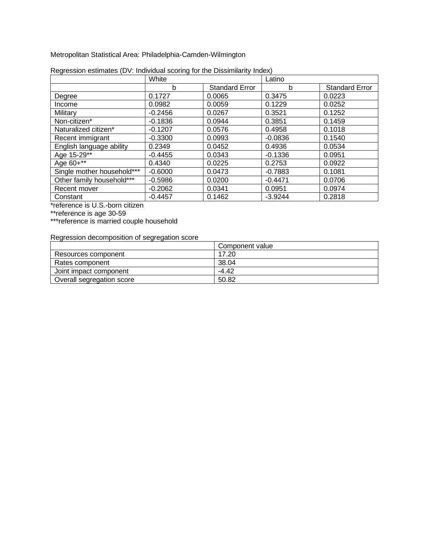Metropolitan Statistical Area: Philadelphia-Camden-Wilmington

|                            | White     |                       | Latino    |                       |
|----------------------------|-----------|-----------------------|-----------|-----------------------|
|                            | b         | <b>Standard Error</b> | b         | <b>Standard Error</b> |
| Degree                     | 0.1727    | 0.0065                | 0.3475    | 0.0223                |
| Income                     | 0.0982    | 0.0059                | 0.1229    | 0.0252                |
| Military                   | $-0.2456$ | 0.0267                | 0.3521    | 0.1252                |
| Non-citizen*               | $-0.1836$ | 0.0944                | 0.3851    | 0.1459                |
| Naturalized citizen*       | $-0.1207$ | 0.0576                | 0.4958    | 0.1018                |
| Recent immigrant           | $-0.3300$ | 0.0993                | $-0.0836$ | 0.1540                |
| English language ability   | 0.2349    | 0.0452                | 0.4936    | 0.0534                |
| Age 15-29**                | $-0.4455$ | 0.0343                | $-0.1336$ | 0.0951                |
| Age 60+**                  | 0.4340    | 0.0225                | 0.2753    | 0.0922                |
| Single mother household*** | $-0.6000$ | 0.0473                | $-0.7883$ | 0.1081                |
| Other family household***  | $-0.5986$ | 0.0200                | $-0.4471$ | 0.0706                |
| Recent mover               | $-0.2062$ | 0.0341                | 0.0951    | 0.0974                |
| Constant                   | $-0.4457$ | 0.1462                | $-3.9244$ | 0.2818                |

| Regression estimates (DV: Individual scoring for the Dissimilarity Index) |  |  |
|---------------------------------------------------------------------------|--|--|
|                                                                           |  |  |

\*reference is U.S.-born citizen

\*\*reference is age 30-59

\*\*\*reference is married couple household

|                           | Component value |
|---------------------------|-----------------|
| Resources component       | 17.20           |
| Rates component           | 38.04           |
| Joint impact component    | $-4.42$         |
| Overall segregation score | 50.82           |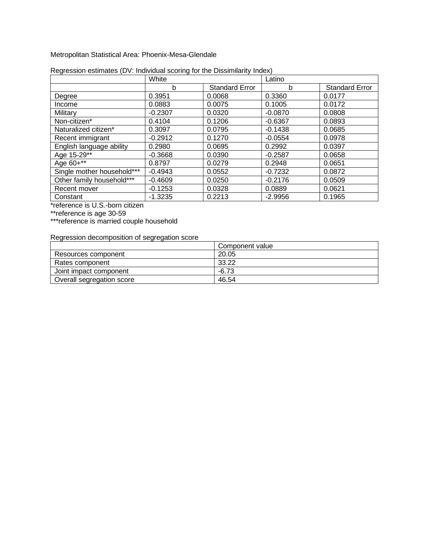Metropolitan Statistical Area: Phoenix-Mesa-Glendale

|                            | White     |                       | Latino    |                       |
|----------------------------|-----------|-----------------------|-----------|-----------------------|
|                            | b         | <b>Standard Error</b> | b         | <b>Standard Error</b> |
| Degree                     | 0.3951    | 0.0068                | 0.3360    | 0.0177                |
| Income                     | 0.0883    | 0.0075                | 0.1005    | 0.0172                |
| Military                   | $-0.2307$ | 0.0320                | $-0.0870$ | 0.0808                |
| Non-citizen*               | 0.4104    | 0.1206                | $-0.6367$ | 0.0893                |
| Naturalized citizen*       | 0.3097    | 0.0795                | $-0.1438$ | 0.0685                |
| Recent immigrant           | $-0.2912$ | 0.1270                | $-0.0554$ | 0.0978                |
| English language ability   | 0.2980    | 0.0695                | 0.2992    | 0.0397                |
| Age 15-29**                | $-0.3668$ | 0.0390                | $-0.2587$ | 0.0658                |
| Age 60+**                  | 0.8797    | 0.0279                | 0.2948    | 0.0651                |
| Single mother household*** | $-0.4943$ | 0.0552                | $-0.7232$ | 0.0872                |
| Other family household***  | $-0.4609$ | 0.0250                | $-0.2176$ | 0.0509                |
| Recent mover               | $-0.1253$ | 0.0328                | 0.0889    | 0.0621                |
| Constant                   | $-1.3235$ | 0.2213                | $-2.9956$ | 0.1965                |

| Regression estimates (DV: Individual scoring for the Dissimilarity Index) |  |  |  |  |
|---------------------------------------------------------------------------|--|--|--|--|
|                                                                           |  |  |  |  |

\*reference is U.S.-born citizen

\*\*reference is age 30-59

\*\*\*reference is married couple household

|                           | Component value |
|---------------------------|-----------------|
| Resources component       | 20.05           |
| Rates component           | 33.22           |
| Joint impact component    | $-6.73$         |
| Overall segregation score | 46.54           |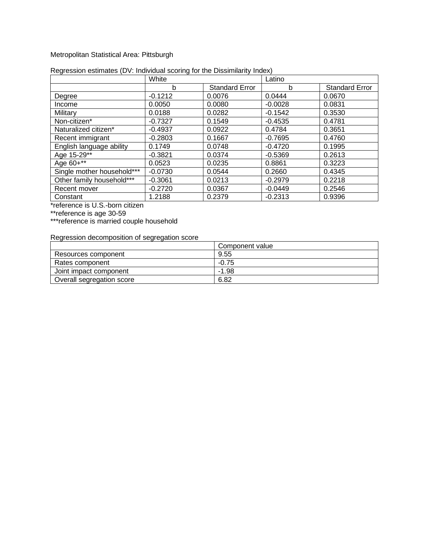#### Metropolitan Statistical Area: Pittsburgh

|                            | White     |                       | Latino    |                       |
|----------------------------|-----------|-----------------------|-----------|-----------------------|
|                            | b         | <b>Standard Error</b> | b         | <b>Standard Error</b> |
| Degree                     | $-0.1212$ | 0.0076                | 0.0444    | 0.0670                |
| Income                     | 0.0050    | 0.0080                | $-0.0028$ | 0.0831                |
| Military                   | 0.0188    | 0.0282                | $-0.1542$ | 0.3530                |
| Non-citizen*               | $-0.7327$ | 0.1549                | $-0.4535$ | 0.4781                |
| Naturalized citizen*       | $-0.4937$ | 0.0922                | 0.4784    | 0.3651                |
| Recent immigrant           | $-0.2803$ | 0.1667                | $-0.7695$ | 0.4760                |
| English language ability   | 0.1749    | 0.0748                | $-0.4720$ | 0.1995                |
| Age 15-29**                | $-0.3821$ | 0.0374                | $-0.5369$ | 0.2613                |
| Age 60+**                  | 0.0523    | 0.0235                | 0.8861    | 0.3223                |
| Single mother household*** | $-0.0730$ | 0.0544                | 0.2660    | 0.4345                |
| Other family household***  | $-0.3061$ | 0.0213                | $-0.2979$ | 0.2218                |
| Recent mover               | $-0.2720$ | 0.0367                | $-0.0449$ | 0.2546                |
| Constant                   | 1.2188    | 0.2379                | $-0.2313$ | 0.9396                |

#### Regression estimates (DV: Individual scoring for the Dissimilarity Index)

\*reference is U.S.-born citizen

\*\*reference is age 30-59

\*\*\*reference is married couple household

|                           | Component value |
|---------------------------|-----------------|
| Resources component       | 9.55            |
| Rates component           | $-0.75$         |
| Joint impact component    | $-1.98$         |
| Overall segregation score | 6.82            |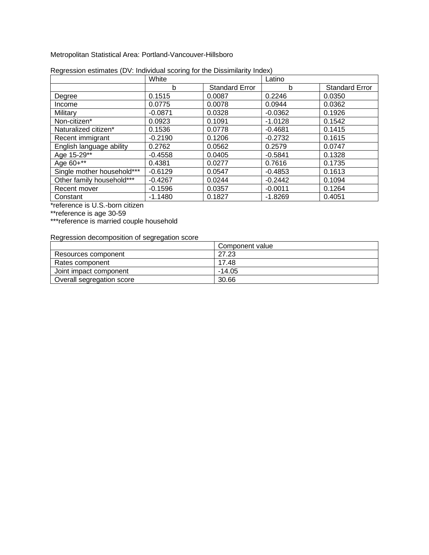Metropolitan Statistical Area: Portland-Vancouver-Hillsboro

|                            | White     |                       | Latino    |                       |
|----------------------------|-----------|-----------------------|-----------|-----------------------|
|                            | b         | <b>Standard Error</b> | b         | <b>Standard Error</b> |
| Degree                     | 0.1515    | 0.0087                | 0.2246    | 0.0350                |
| Income                     | 0.0775    | 0.0078                | 0.0944    | 0.0362                |
| Military                   | $-0.0871$ | 0.0328                | $-0.0362$ | 0.1926                |
| Non-citizen*               | 0.0923    | 0.1091                | $-1.0128$ | 0.1542                |
| Naturalized citizen*       | 0.1536    | 0.0778                | $-0.4681$ | 0.1415                |
| Recent immigrant           | $-0.2190$ | 0.1206                | $-0.2732$ | 0.1615                |
| English language ability   | 0.2762    | 0.0562                | 0.2579    | 0.0747                |
| Age 15-29**                | $-0.4558$ | 0.0405                | $-0.5841$ | 0.1328                |
| Age 60+**                  | 0.4381    | 0.0277                | 0.7616    | 0.1735                |
| Single mother household*** | $-0.6129$ | 0.0547                | $-0.4853$ | 0.1613                |
| Other family household***  | $-0.4267$ | 0.0244                | $-0.2442$ | 0.1094                |
| Recent mover               | $-0.1596$ | 0.0357                | $-0.0011$ | 0.1264                |
| Constant                   | $-1.1480$ | 0.1827                | $-1.8269$ | 0.4051                |

| Regression estimates (DV: Individual scoring for the Dissimilarity Index) |  |
|---------------------------------------------------------------------------|--|
|                                                                           |  |

\*reference is U.S.-born citizen

\*\*reference is age 30-59

\*\*\*reference is married couple household

|                           | Component value |
|---------------------------|-----------------|
| Resources component       | 27.23           |
| Rates component           | 17.48           |
| Joint impact component    | $-14.05$        |
| Overall segregation score | 30.66           |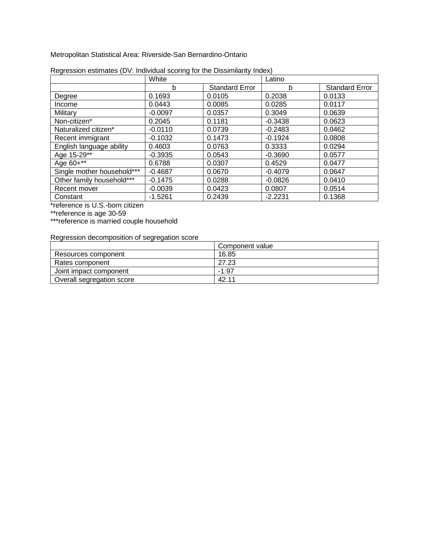Metropolitan Statistical Area: Riverside-San Bernardino-Ontario

|                            | White     |                       | Latino    |                       |
|----------------------------|-----------|-----------------------|-----------|-----------------------|
|                            | b         | <b>Standard Error</b> | b         | <b>Standard Error</b> |
| Degree                     | 0.1693    | 0.0105                | 0.2038    | 0.0133                |
| Income                     | 0.0443    | 0.0085                | 0.0285    | 0.0117                |
| Military                   | $-0.0097$ | 0.0357                | 0.3049    | 0.0639                |
| Non-citizen*               | 0.2045    | 0.1181                | $-0.3438$ | 0.0623                |
| Naturalized citizen*       | $-0.0110$ | 0.0739                | $-0.2483$ | 0.0462                |
| Recent immigrant           | $-0.1032$ | 0.1473                | $-0.1924$ | 0.0808                |
| English language ability   | 0.4603    | 0.0763                | 0.3333    | 0.0294                |
| Age 15-29**                | $-0.3935$ | 0.0543                | $-0.3690$ | 0.0577                |
| Age 60+**                  | 0.6788    | 0.0307                | 0.4529    | 0.0477                |
| Single mother household*** | $-0.4687$ | 0.0670                | $-0.4079$ | 0.0647                |
| Other family household***  | $-0.1475$ | 0.0288                | $-0.0826$ | 0.0410                |
| Recent mover               | $-0.0039$ | 0.0423                | 0.0807    | 0.0514                |
| Constant                   | $-1.5261$ | 0.2439                | $-2.2231$ | 0.1368                |

|  | Regression estimates (DV: Individual scoring for the Dissimilarity Index) |  |
|--|---------------------------------------------------------------------------|--|
|  |                                                                           |  |

\*reference is U.S.-born citizen

\*\*reference is age 30-59

\*\*\*reference is married couple household

|                           | Component value |
|---------------------------|-----------------|
| Resources component       | 16.85           |
| Rates component           | 27.23           |
| Joint impact component    | $-1.97$         |
| Overall segregation score | 42.11           |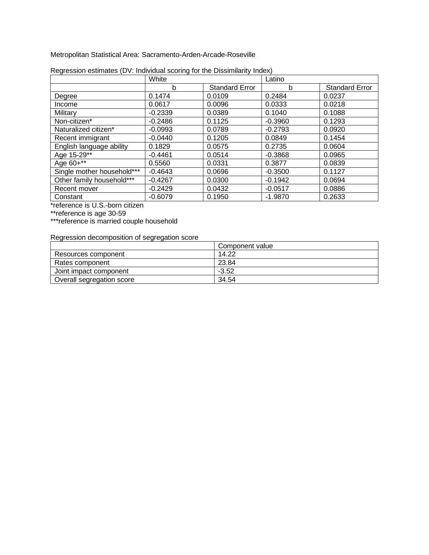Metropolitan Statistical Area: Sacramento-Arden-Arcade-Roseville

|                            | White     |                       | Latino    |                       |
|----------------------------|-----------|-----------------------|-----------|-----------------------|
|                            | b         | <b>Standard Error</b> | b         | <b>Standard Error</b> |
| Degree                     | 0.1474    | 0.0109                | 0.2484    | 0.0237                |
| Income                     | 0.0617    | 0.0096                | 0.0333    | 0.0218                |
| Military                   | $-0.2339$ | 0.0389                | 0.1040    | 0.1088                |
| Non-citizen*               | $-0.2486$ | 0.1125                | $-0.3960$ | 0.1293                |
| Naturalized citizen*       | $-0.0993$ | 0.0789                | $-0.2793$ | 0.0920                |
| Recent immigrant           | $-0.0440$ | 0.1205                | 0.0849    | 0.1454                |
| English language ability   | 0.1829    | 0.0575                | 0.2735    | 0.0604                |
| Age 15-29**                | $-0.4461$ | 0.0514                | $-0.3868$ | 0.0965                |
| Age 60+**                  | 0.5560    | 0.0331                | 0.3877    | 0.0839                |
| Single mother household*** | $-0.4643$ | 0.0696                | $-0.3500$ | 0.1127                |
| Other family household***  | $-0.4267$ | 0.0300                | $-0.1942$ | 0.0694                |
| Recent mover               | $-0.2429$ | 0.0432                | $-0.0517$ | 0.0886                |
| Constant                   | $-0.6079$ | 0.1950                | $-1.9870$ | 0.2633                |

| Regression estimates (DV: Individual scoring for the Dissimilarity Index) |  |  |
|---------------------------------------------------------------------------|--|--|
|                                                                           |  |  |

\*reference is U.S.-born citizen

\*\*reference is age 30-59

\*\*\*reference is married couple household

|                           | Component value |
|---------------------------|-----------------|
| Resources component       | 14.22           |
| Rates component           | 23.84           |
| Joint impact component    | $-3.52$         |
| Overall segregation score | 34.54           |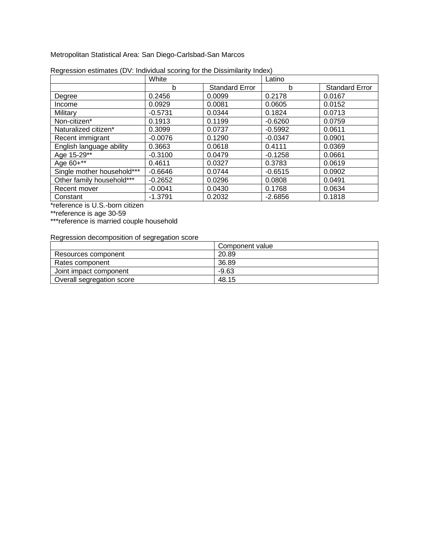Metropolitan Statistical Area: San Diego-Carlsbad-San Marcos

|                            | White     |                       | Latino    |                       |
|----------------------------|-----------|-----------------------|-----------|-----------------------|
|                            | b         | <b>Standard Error</b> | b         | <b>Standard Error</b> |
| Degree                     | 0.2456    | 0.0099                | 0.2178    | 0.0167                |
| Income                     | 0.0929    | 0.0081                | 0.0605    | 0.0152                |
| Military                   | $-0.5731$ | 0.0344                | 0.1824    | 0.0713                |
| Non-citizen*               | 0.1913    | 0.1199                | $-0.6260$ | 0.0759                |
| Naturalized citizen*       | 0.3099    | 0.0737                | $-0.5992$ | 0.0611                |
| Recent immigrant           | $-0.0076$ | 0.1290                | $-0.0347$ | 0.0901                |
| English language ability   | 0.3663    | 0.0618                | 0.4111    | 0.0369                |
| Age 15-29**                | $-0.3100$ | 0.0479                | $-0.1258$ | 0.0661                |
| Age 60+**                  | 0.4611    | 0.0327                | 0.3783    | 0.0619                |
| Single mother household*** | $-0.6646$ | 0.0744                | $-0.6515$ | 0.0902                |
| Other family household***  | $-0.2652$ | 0.0296                | 0.0808    | 0.0491                |
| Recent mover               | $-0.0041$ | 0.0430                | 0.1768    | 0.0634                |
| Constant                   | $-1.3791$ | 0.2032                | $-2.6856$ | 0.1818                |

| Regression estimates (DV: Individual scoring for the Dissimilarity Index) |  |  |
|---------------------------------------------------------------------------|--|--|
|                                                                           |  |  |

\*reference is U.S.-born citizen

\*\*reference is age 30-59

\*\*\*reference is married couple household

|                           | Component value |
|---------------------------|-----------------|
| Resources component       | 20.89           |
| Rates component           | 36.89           |
| Joint impact component    | $-9.63$         |
| Overall segregation score | 48.15           |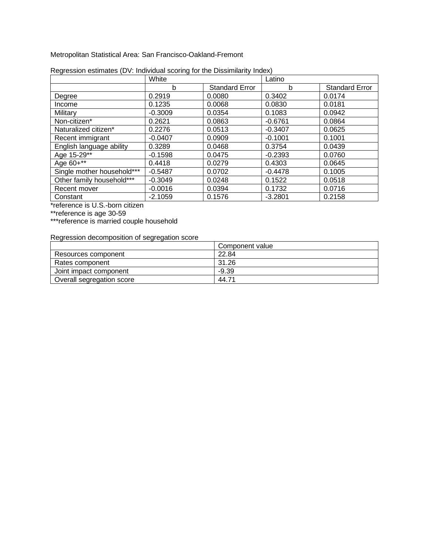Metropolitan Statistical Area: San Francisco-Oakland-Fremont

|                            | White     |                       | Latino    |                       |
|----------------------------|-----------|-----------------------|-----------|-----------------------|
|                            | b         | <b>Standard Error</b> | b         | <b>Standard Error</b> |
| Degree                     | 0.2919    | 0.0080                | 0.3402    | 0.0174                |
| Income                     | 0.1235    | 0.0068                | 0.0830    | 0.0181                |
| Military                   | $-0.3009$ | 0.0354                | 0.1083    | 0.0942                |
| Non-citizen*               | 0.2621    | 0.0863                | $-0.6761$ | 0.0864                |
| Naturalized citizen*       | 0.2276    | 0.0513                | $-0.3407$ | 0.0625                |
| Recent immigrant           | $-0.0407$ | 0.0909                | $-0.1001$ | 0.1001                |
| English language ability   | 0.3289    | 0.0468                | 0.3754    | 0.0439                |
| Age 15-29**                | $-0.1598$ | 0.0475                | $-0.2393$ | 0.0760                |
| Age 60+**                  | 0.4418    | 0.0279                | 0.4303    | 0.0645                |
| Single mother household*** | $-0.5487$ | 0.0702                | $-0.4478$ | 0.1005                |
| Other family household***  | $-0.3049$ | 0.0248                | 0.1522    | 0.0518                |
| Recent mover               | $-0.0016$ | 0.0394                | 0.1732    | 0.0716                |
| Constant                   | $-2.1059$ | 0.1576                | $-3.2801$ | 0.2158                |

| Regression estimates (DV: Individual scoring for the Dissimilarity Index) |  |  |
|---------------------------------------------------------------------------|--|--|
|                                                                           |  |  |

\*reference is U.S.-born citizen

\*\*reference is age 30-59

\*\*\*reference is married couple household

|                           | Component value |
|---------------------------|-----------------|
| Resources component       | 22.84           |
| Rates component           | 31.26           |
| Joint impact component    | $-9.39$         |
| Overall segregation score | 44.71           |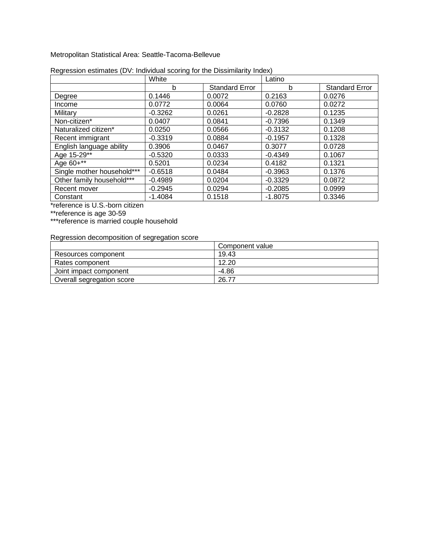Metropolitan Statistical Area: Seattle-Tacoma-Bellevue

|                            | White     |                       | Latino    |                       |
|----------------------------|-----------|-----------------------|-----------|-----------------------|
|                            | b         | <b>Standard Error</b> | b         | <b>Standard Error</b> |
| Degree                     | 0.1446    | 0.0072                | 0.2163    | 0.0276                |
| Income                     | 0.0772    | 0.0064                | 0.0760    | 0.0272                |
| Military                   | $-0.3262$ | 0.0261                | $-0.2828$ | 0.1235                |
| Non-citizen*               | 0.0407    | 0.0841                | $-0.7396$ | 0.1349                |
| Naturalized citizen*       | 0.0250    | 0.0566                | $-0.3132$ | 0.1208                |
| Recent immigrant           | $-0.3319$ | 0.0884                | $-0.1957$ | 0.1328                |
| English language ability   | 0.3906    | 0.0467                | 0.3077    | 0.0728                |
| Age 15-29**                | $-0.5320$ | 0.0333                | $-0.4349$ | 0.1067                |
| Age 60+**                  | 0.5201    | 0.0234                | 0.4182    | 0.1321                |
| Single mother household*** | $-0.6518$ | 0.0484                | $-0.3963$ | 0.1376                |
| Other family household***  | $-0.4989$ | 0.0204                | $-0.3329$ | 0.0872                |
| Recent mover               | $-0.2945$ | 0.0294                | $-0.2085$ | 0.0999                |
| Constant                   | $-1.4084$ | 0.1518                | $-1.8075$ | 0.3346                |

| Regression estimates (DV: Individual scoring for the Dissimilarity Index) |  |  |  |  |
|---------------------------------------------------------------------------|--|--|--|--|
|                                                                           |  |  |  |  |

\*reference is U.S.-born citizen

\*\*reference is age 30-59

\*\*\*reference is married couple household

|                           | Component value |
|---------------------------|-----------------|
| Resources component       | 19.43           |
| Rates component           | 12.20           |
| Joint impact component    | $-4.86$         |
| Overall segregation score | 26.77           |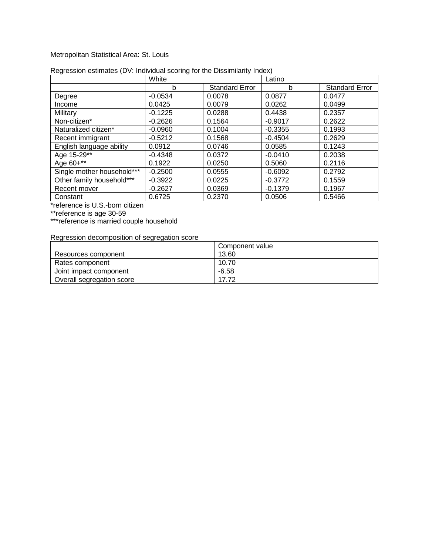#### Metropolitan Statistical Area: St. Louis

|                            | White     |                       | Latino    |                       |
|----------------------------|-----------|-----------------------|-----------|-----------------------|
|                            | b         | <b>Standard Error</b> | b         | <b>Standard Error</b> |
| Degree                     | $-0.0534$ | 0.0078                | 0.0877    | 0.0477                |
| Income                     | 0.0425    | 0.0079                | 0.0262    | 0.0499                |
| Military                   | $-0.1225$ | 0.0288                | 0.4438    | 0.2357                |
| Non-citizen*               | $-0.2626$ | 0.1564                | $-0.9017$ | 0.2622                |
| Naturalized citizen*       | $-0.0960$ | 0.1004                | $-0.3355$ | 0.1993                |
| Recent immigrant           | $-0.5212$ | 0.1568                | $-0.4504$ | 0.2629                |
| English language ability   | 0.0912    | 0.0746                | 0.0585    | 0.1243                |
| Age 15-29**                | $-0.4348$ | 0.0372                | $-0.0410$ | 0.2038                |
| Age 60+**                  | 0.1922    | 0.0250                | 0.5060    | 0.2116                |
| Single mother household*** | $-0.2500$ | 0.0555                | $-0.6092$ | 0.2792                |
| Other family household***  | $-0.3922$ | 0.0225                | $-0.3772$ | 0.1559                |
| Recent mover               | $-0.2627$ | 0.0369                | $-0.1379$ | 0.1967                |
| Constant                   | 0.6725    | 0.2370                | 0.0506    | 0.5466                |

#### Regression estimates (DV: Individual scoring for the Dissimilarity Index)

\*reference is U.S.-born citizen

\*\*reference is age 30-59

\*\*\*reference is married couple household

|                           | Component value |
|---------------------------|-----------------|
| Resources component       | 13.60           |
| Rates component           | 10.70           |
| Joint impact component    | $-6.58$         |
| Overall segregation score | 17.72           |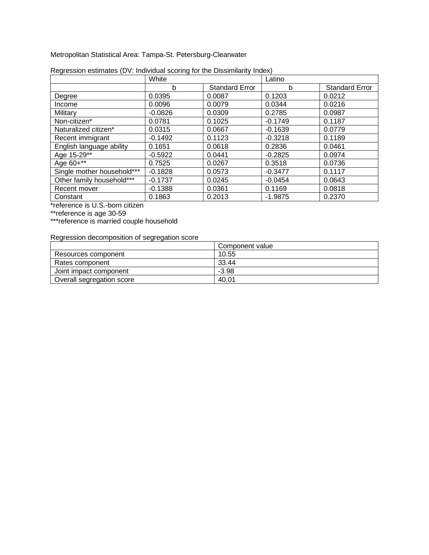Metropolitan Statistical Area: Tampa-St. Petersburg-Clearwater

|                            | White     |                       | Latino    |                       |
|----------------------------|-----------|-----------------------|-----------|-----------------------|
|                            | b         | <b>Standard Error</b> | b         | <b>Standard Error</b> |
| Degree                     | 0.0395    | 0.0087                | 0.1203    | 0.0212                |
| Income                     | 0.0096    | 0.0079                | 0.0344    | 0.0216                |
| Military                   | $-0.0826$ | 0.0309                | 0.2785    | 0.0987                |
| Non-citizen*               | 0.0781    | 0.1025                | $-0.1749$ | 0.1187                |
| Naturalized citizen*       | 0.0315    | 0.0667                | $-0.1639$ | 0.0779                |
| Recent immigrant           | $-0.1492$ | 0.1123                | $-0.3218$ | 0.1189                |
| English language ability   | 0.1651    | 0.0618                | 0.2836    | 0.0461                |
| Age 15-29**                | $-0.5922$ | 0.0441                | $-0.2825$ | 0.0974                |
| Age 60+**                  | 0.7525    | 0.0267                | 0.3518    | 0.0736                |
| Single mother household*** | $-0.1828$ | 0.0573                | $-0.3477$ | 0.1117                |
| Other family household***  | $-0.1737$ | 0.0245                | $-0.0454$ | 0.0643                |
| Recent mover               | $-0.1388$ | 0.0361                | 0.1169    | 0.0818                |
| Constant                   | 0.1863    | 0.2013                | $-1.9875$ | 0.2370                |

| Regression estimates (DV: Individual scoring for the Dissimilarity Index) |  |  |
|---------------------------------------------------------------------------|--|--|
|                                                                           |  |  |

\*reference is U.S.-born citizen

\*\*reference is age 30-59

\*\*\*reference is married couple household

|                           | Component value |
|---------------------------|-----------------|
| Resources component       | 10.55           |
| Rates component           | 33.44           |
| Joint impact component    | $-3.98$         |
| Overall segregation score | 40.01           |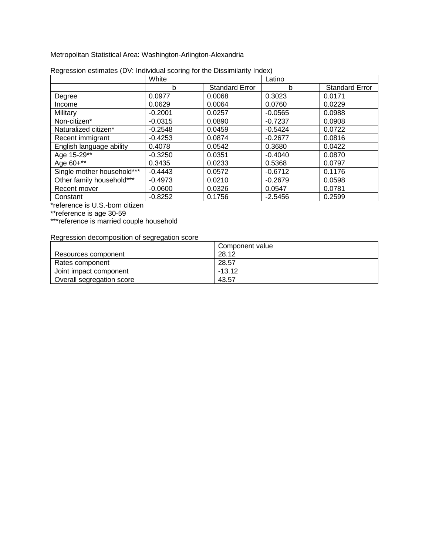Metropolitan Statistical Area: Washington-Arlington-Alexandria

|                            | White     |                       | Latino    |                       |
|----------------------------|-----------|-----------------------|-----------|-----------------------|
|                            | b         | <b>Standard Error</b> | b         | <b>Standard Error</b> |
| Degree                     | 0.0977    | 0.0068                | 0.3023    | 0.0171                |
| Income                     | 0.0629    | 0.0064                | 0.0760    | 0.0229                |
| Military                   | $-0.2001$ | 0.0257                | $-0.0565$ | 0.0988                |
| Non-citizen*               | $-0.0315$ | 0.0890                | $-0.7237$ | 0.0908                |
| Naturalized citizen*       | $-0.2548$ | 0.0459                | $-0.5424$ | 0.0722                |
| Recent immigrant           | $-0.4253$ | 0.0874                | $-0.2677$ | 0.0816                |
| English language ability   | 0.4078    | 0.0542                | 0.3680    | 0.0422                |
| Age 15-29**                | $-0.3250$ | 0.0351                | $-0.4040$ | 0.0870                |
| Age 60+**                  | 0.3435    | 0.0233                | 0.5368    | 0.0797                |
| Single mother household*** | $-0.4443$ | 0.0572                | $-0.6712$ | 0.1176                |
| Other family household***  | $-0.4973$ | 0.0210                | $-0.2679$ | 0.0598                |
| Recent mover               | $-0.0600$ | 0.0326                | 0.0547    | 0.0781                |
| Constant                   | $-0.8252$ | 0.1756                | $-2.5456$ | 0.2599                |

| Regression estimates (DV: Individual scoring for the Dissimilarity Index) |  |  |
|---------------------------------------------------------------------------|--|--|
|                                                                           |  |  |

\*reference is U.S.-born citizen

\*\*reference is age 30-59

\*\*\*reference is married couple household

|                           | Component value |
|---------------------------|-----------------|
| Resources component       | 28.12           |
| Rates component           | 28.57           |
| Joint impact component    | $-13.12$        |
| Overall segregation score | 43.57           |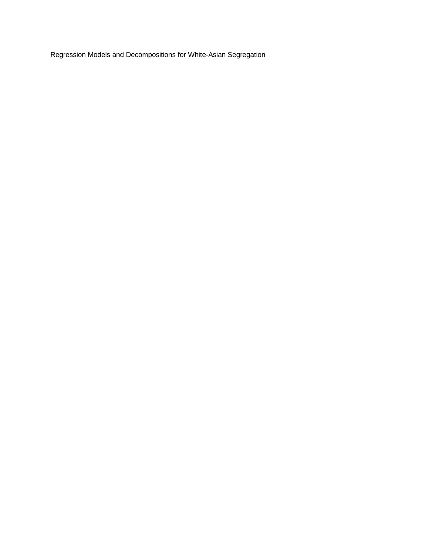Regression Models and Decompositions for White-Asian Segregation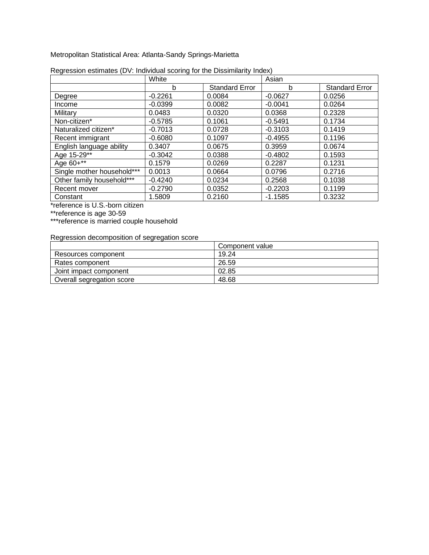Metropolitan Statistical Area: Atlanta-Sandy Springs-Marietta

|                            | White     |                       | Asian     |                       |
|----------------------------|-----------|-----------------------|-----------|-----------------------|
|                            | b         | <b>Standard Error</b> | b         | <b>Standard Error</b> |
| Degree                     | $-0.2261$ | 0.0084                | $-0.0627$ | 0.0256                |
| Income                     | $-0.0399$ | 0.0082                | $-0.0041$ | 0.0264                |
| Military                   | 0.0483    | 0.0320                | 0.0368    | 0.2328                |
| Non-citizen*               | $-0.5785$ | 0.1061                | $-0.5491$ | 0.1734                |
| Naturalized citizen*       | $-0.7013$ | 0.0728                | $-0.3103$ | 0.1419                |
| Recent immigrant           | $-0.6080$ | 0.1097                | $-0.4955$ | 0.1196                |
| English language ability   | 0.3407    | 0.0675                | 0.3959    | 0.0674                |
| Age 15-29**                | $-0.3042$ | 0.0388                | $-0.4802$ | 0.1593                |
| Age 60+**                  | 0.1579    | 0.0269                | 0.2287    | 0.1231                |
| Single mother household*** | 0.0013    | 0.0664                | 0.0796    | 0.2716                |
| Other family household***  | $-0.4240$ | 0.0234                | 0.2568    | 0.1038                |
| Recent mover               | $-0.2790$ | 0.0352                | $-0.2203$ | 0.1199                |
| Constant                   | 1.5809    | 0.2160                | $-1.1585$ | 0.3232                |

| Regression estimates (DV: Individual scoring for the Dissimilarity Index) |  |
|---------------------------------------------------------------------------|--|
|                                                                           |  |

\*reference is U.S.-born citizen

\*\*reference is age 30-59

\*\*\*reference is married couple household

|                           | Component value |
|---------------------------|-----------------|
| Resources component       | 19.24           |
| Rates component           | 26.59           |
| Joint impact component    | 02.85           |
| Overall segregation score | 48.68           |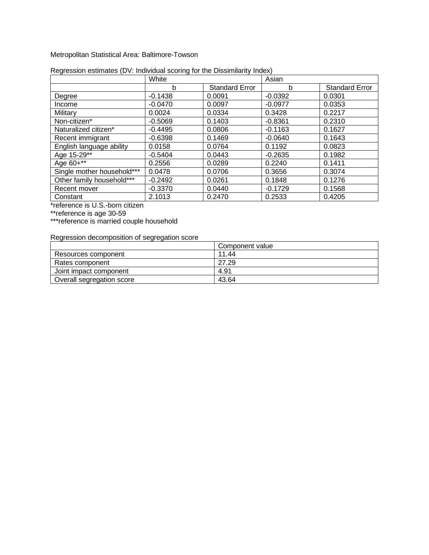#### Metropolitan Statistical Area: Baltimore-Towson

|                            | White     |                       | Asian     |                       |
|----------------------------|-----------|-----------------------|-----------|-----------------------|
|                            | b         | <b>Standard Error</b> | b         | <b>Standard Error</b> |
| Degree                     | $-0.1438$ | 0.0091                | $-0.0392$ | 0.0301                |
| Income                     | $-0.0470$ | 0.0097                | $-0.0977$ | 0.0353                |
| Military                   | 0.0024    | 0.0334                | 0.3428    | 0.2217                |
| Non-citizen*               | $-0.5069$ | 0.1403                | $-0.8361$ | 0.2310                |
| Naturalized citizen*       | $-0.4495$ | 0.0806                | $-0.1163$ | 0.1627                |
| Recent immigrant           | $-0.6398$ | 0.1469                | $-0.0640$ | 0.1643                |
| English language ability   | 0.0158    | 0.0764                | 0.1192    | 0.0823                |
| Age 15-29**                | $-0.5404$ | 0.0443                | $-0.2635$ | 0.1982                |
| Age 60+**                  | 0.2556    | 0.0289                | 0.2240    | 0.1411                |
| Single mother household*** | 0.0478    | 0.0706                | 0.3656    | 0.3074                |
| Other family household***  | $-0.2492$ | 0.0261                | 0.1848    | 0.1276                |
| Recent mover               | $-0.3370$ | 0.0440                | $-0.1729$ | 0.1568                |
| Constant                   | 2.1013    | 0.2470                | 0.2533    | 0.4205                |

#### Regression estimates (DV: Individual scoring for the Dissimilarity Index)

\*reference is U.S.-born citizen

\*\*reference is age 30-59

\*\*\*reference is married couple household

|                           | Component value |
|---------------------------|-----------------|
| Resources component       | 11.44           |
| Rates component           | 27.29           |
| Joint impact component    | 4.91            |
| Overall segregation score | 43.64           |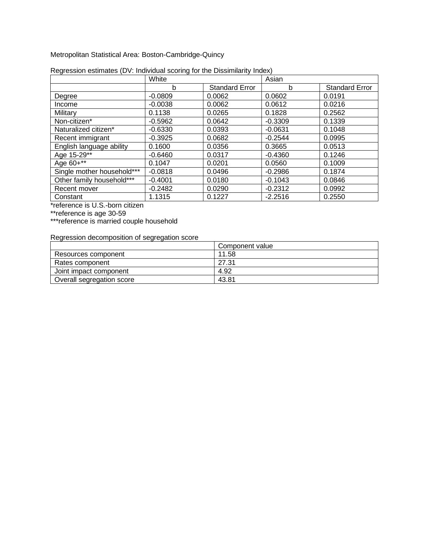Metropolitan Statistical Area: Boston-Cambridge-Quincy

|                            | White     |                       | Asian     |                       |
|----------------------------|-----------|-----------------------|-----------|-----------------------|
|                            | b         | <b>Standard Error</b> | b         | <b>Standard Error</b> |
| Degree                     | $-0.0809$ | 0.0062                | 0.0602    | 0.0191                |
| Income                     | $-0.0038$ | 0.0062                | 0.0612    | 0.0216                |
| Military                   | 0.1138    | 0.0265                | 0.1828    | 0.2562                |
| Non-citizen*               | $-0.5962$ | 0.0642                | $-0.3309$ | 0.1339                |
| Naturalized citizen*       | $-0.6330$ | 0.0393                | $-0.0631$ | 0.1048                |
| Recent immigrant           | $-0.3925$ | 0.0682                | $-0.2544$ | 0.0995                |
| English language ability   | 0.1600    | 0.0356                | 0.3665    | 0.0513                |
| Age 15-29**                | $-0.6460$ | 0.0317                | $-0.4360$ | 0.1246                |
| Age 60+**                  | 0.1047    | 0.0201                | 0.0560    | 0.1009                |
| Single mother household*** | $-0.0818$ | 0.0496                | $-0.2986$ | 0.1874                |
| Other family household***  | $-0.4001$ | 0.0180                | $-0.1043$ | 0.0846                |
| Recent mover               | $-0.2482$ | 0.0290                | $-0.2312$ | 0.0992                |
| Constant                   | 1.1315    | 0.1227                | $-2.2516$ | 0.2550                |

| Regression estimates (DV: Individual scoring for the Dissimilarity Index) |  |  |
|---------------------------------------------------------------------------|--|--|
|                                                                           |  |  |

\*reference is U.S.-born citizen

\*\*reference is age 30-59

\*\*\*reference is married couple household

|                           | Component value |
|---------------------------|-----------------|
| Resources component       | 11.58           |
| Rates component           | 27.31           |
| Joint impact component    | 4.92            |
| Overall segregation score | 43.81           |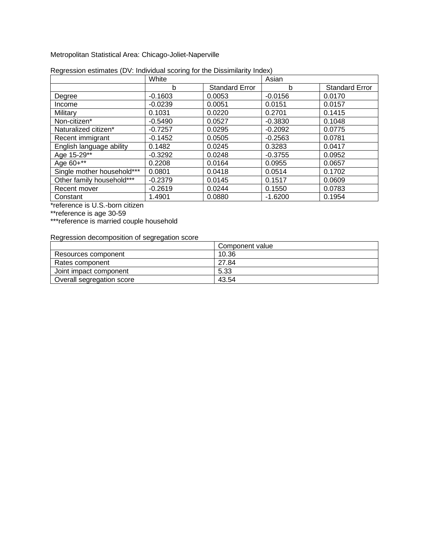Metropolitan Statistical Area: Chicago-Joliet-Naperville

|                            | White     |                       | Asian     |                       |
|----------------------------|-----------|-----------------------|-----------|-----------------------|
|                            | b         | <b>Standard Error</b> | b         | <b>Standard Error</b> |
| Degree                     | $-0.1603$ | 0.0053                | $-0.0156$ | 0.0170                |
| Income                     | $-0.0239$ | 0.0051                | 0.0151    | 0.0157                |
| Military                   | 0.1031    | 0.0220                | 0.2701    | 0.1415                |
| Non-citizen*               | $-0.5490$ | 0.0527                | $-0.3830$ | 0.1048                |
| Naturalized citizen*       | $-0.7257$ | 0.0295                | $-0.2092$ | 0.0775                |
| Recent immigrant           | $-0.1452$ | 0.0505                | $-0.2563$ | 0.0781                |
| English language ability   | 0.1482    | 0.0245                | 0.3283    | 0.0417                |
| Age 15-29**                | $-0.3292$ | 0.0248                | $-0.3755$ | 0.0952                |
| Age 60+**                  | 0.2208    | 0.0164                | 0.0955    | 0.0657                |
| Single mother household*** | 0.0801    | 0.0418                | 0.0514    | 0.1702                |
| Other family household***  | $-0.2379$ | 0.0145                | 0.1517    | 0.0609                |
| Recent mover               | $-0.2619$ | 0.0244                | 0.1550    | 0.0783                |
| Constant                   | 1.4901    | 0.0880                | $-1.6200$ | 0.1954                |

| Regression estimates (DV: Individual scoring for the Dissimilarity Index) |  |  |  |  |
|---------------------------------------------------------------------------|--|--|--|--|
|                                                                           |  |  |  |  |

\*reference is U.S.-born citizen

\*\*reference is age 30-59

\*\*\*reference is married couple household

|                           | Component value |
|---------------------------|-----------------|
| Resources component       | 10.36           |
| Rates component           | 27.84           |
| Joint impact component    | 5.33            |
| Overall segregation score | 43.54           |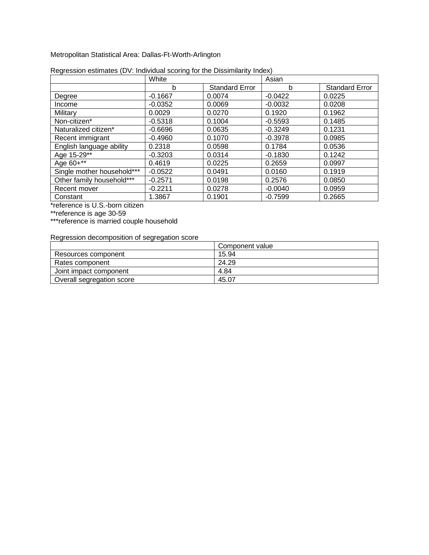Metropolitan Statistical Area: Dallas-Ft-Worth-Arlington

|                            | White     |                       | Asian     |                       |
|----------------------------|-----------|-----------------------|-----------|-----------------------|
|                            | b         | <b>Standard Error</b> | b         | <b>Standard Error</b> |
| Degree                     | $-0.1667$ | 0.0074                | $-0.0422$ | 0.0225                |
| Income                     | $-0.0352$ | 0.0069                | $-0.0032$ | 0.0208                |
| Military                   | 0.0029    | 0.0270                | 0.1920    | 0.1962                |
| Non-citizen*               | $-0.5318$ | 0.1004                | $-0.5593$ | 0.1485                |
| Naturalized citizen*       | $-0.6696$ | 0.0635                | $-0.3249$ | 0.1231                |
| Recent immigrant           | $-0.4960$ | 0.1070                | $-0.3978$ | 0.0985                |
| English language ability   | 0.2318    | 0.0598                | 0.1784    | 0.0536                |
| Age 15-29**                | $-0.3203$ | 0.0314                | $-0.1830$ | 0.1242                |
| Age 60+**                  | 0.4619    | 0.0225                | 0.2659    | 0.0997                |
| Single mother household*** | $-0.0522$ | 0.0491                | 0.0160    | 0.1919                |
| Other family household***  | $-0.2571$ | 0.0198                | 0.2576    | 0.0850                |
| Recent mover               | $-0.2211$ | 0.0278                | $-0.0040$ | 0.0959                |
| Constant                   | 1.3867    | 0.1901                | $-0.7599$ | 0.2665                |

| Regression estimates (DV: Individual scoring for the Dissimilarity Index) |  |  |
|---------------------------------------------------------------------------|--|--|
|                                                                           |  |  |

\*reference is U.S.-born citizen

\*\*reference is age 30-59

\*\*\*reference is married couple household

|                           | Component value |
|---------------------------|-----------------|
| Resources component       | 15.94           |
| Rates component           | 24.29           |
| Joint impact component    | 4.84            |
| Overall segregation score | 45.07           |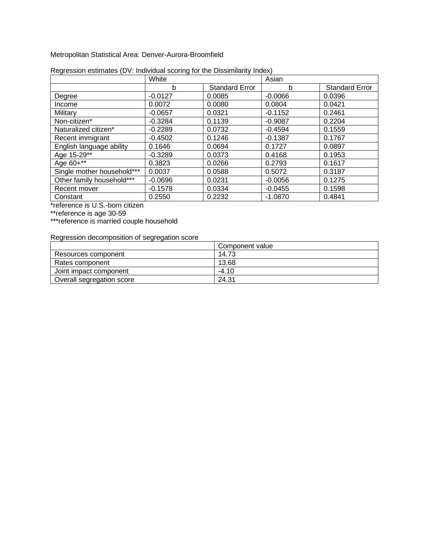Metropolitan Statistical Area: Denver-Aurora-Broomfield

|                            | White     |                       | Asian     |                       |
|----------------------------|-----------|-----------------------|-----------|-----------------------|
|                            | b         | <b>Standard Error</b> | b         | <b>Standard Error</b> |
| Degree                     | $-0.0127$ | 0.0085                | $-0.0066$ | 0.0396                |
| Income                     | 0.0072    | 0.0080                | 0.0804    | 0.0421                |
| Military                   | $-0.0657$ | 0.0321                | $-0.1152$ | 0.2461                |
| Non-citizen*               | $-0.3284$ | 0.1139                | $-0.9087$ | 0.2204                |
| Naturalized citizen*       | $-0.2289$ | 0.0732                | $-0.4594$ | 0.1559                |
| Recent immigrant           | $-0.4502$ | 0.1246                | $-0.1387$ | 0.1767                |
| English language ability   | 0.1646    | 0.0694                | 0.1727    | 0.0897                |
| Age 15-29**                | $-0.3289$ | 0.0373                | 0.4168    | 0.1953                |
| Age 60+**                  | 0.3823    | 0.0266                | 0.2793    | 0.1617                |
| Single mother household*** | 0.0037    | 0.0588                | 0.5072    | 0.3187                |
| Other family household***  | $-0.0696$ | 0.0231                | $-0.0056$ | 0.1275                |
| Recent mover               | $-0.1578$ | 0.0334                | $-0.0455$ | 0.1598                |
| Constant                   | 0.2550    | 0.2232                | $-1.0870$ | 0.4841                |

| Regression estimates (DV: Individual scoring for the Dissimilarity Index) |  |
|---------------------------------------------------------------------------|--|
|                                                                           |  |

\*reference is U.S.-born citizen

\*\*reference is age 30-59

\*\*\*reference is married couple household

|                           | Component value |
|---------------------------|-----------------|
| Resources component       | 14.73           |
| Rates component           | 13.68           |
| Joint impact component    | $-4.10$         |
| Overall segregation score | 24.31           |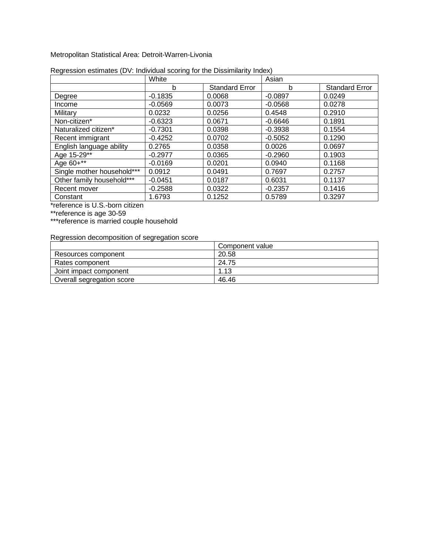Metropolitan Statistical Area: Detroit-Warren-Livonia

|                            | White     |                       | Asian     |                       |
|----------------------------|-----------|-----------------------|-----------|-----------------------|
|                            | b         | <b>Standard Error</b> | b         | <b>Standard Error</b> |
| Degree                     | $-0.1835$ | 0.0068                | $-0.0897$ | 0.0249                |
| Income                     | $-0.0569$ | 0.0073                | $-0.0568$ | 0.0278                |
| Military                   | 0.0232    | 0.0256                | 0.4548    | 0.2910                |
| Non-citizen*               | $-0.6323$ | 0.0671                | $-0.6646$ | 0.1891                |
| Naturalized citizen*       | $-0.7301$ | 0.0398                | $-0.3938$ | 0.1554                |
| Recent immigrant           | $-0.4252$ | 0.0702                | $-0.5052$ | 0.1290                |
| English language ability   | 0.2765    | 0.0358                | 0.0026    | 0.0697                |
| Age 15-29**                | $-0.2977$ | 0.0365                | $-0.2960$ | 0.1903                |
| Age 60+**                  | $-0.0169$ | 0.0201                | 0.0940    | 0.1168                |
| Single mother household*** | 0.0912    | 0.0491                | 0.7697    | 0.2757                |
| Other family household***  | $-0.0451$ | 0.0187                | 0.6031    | 0.1137                |
| Recent mover               | $-0.2588$ | 0.0322                | $-0.2357$ | 0.1416                |
| Constant                   | 1.6793    | 0.1252                | 0.5789    | 0.3297                |

|  | Regression estimates (DV: Individual scoring for the Dissimilarity Index) |
|--|---------------------------------------------------------------------------|
|  |                                                                           |

\*reference is U.S.-born citizen

\*\*reference is age 30-59

\*\*\*reference is married couple household

|                           | Component value |
|---------------------------|-----------------|
| Resources component       | 20.58           |
| Rates component           | 24.75           |
| Joint impact component    | 1.13            |
| Overall segregation score | 46.46           |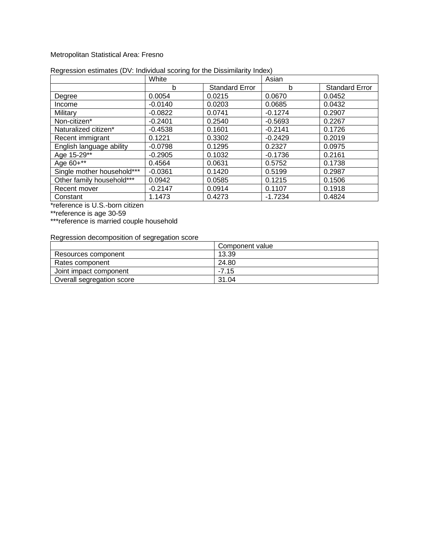#### Metropolitan Statistical Area: Fresno

|                            | White     |                       | Asian     |                       |
|----------------------------|-----------|-----------------------|-----------|-----------------------|
|                            | b         | <b>Standard Error</b> | b         | <b>Standard Error</b> |
| Degree                     | 0.0054    | 0.0215                | 0.0670    | 0.0452                |
| Income                     | $-0.0140$ | 0.0203                | 0.0685    | 0.0432                |
| Military                   | $-0.0822$ | 0.0741                | $-0.1274$ | 0.2907                |
| Non-citizen*               | $-0.2401$ | 0.2540                | $-0.5693$ | 0.2267                |
| Naturalized citizen*       | $-0.4538$ | 0.1601                | $-0.2141$ | 0.1726                |
| Recent immigrant           | 0.1221    | 0.3302                | $-0.2429$ | 0.2019                |
| English language ability   | $-0.0798$ | 0.1295                | 0.2327    | 0.0975                |
| Age 15-29**                | $-0.2905$ | 0.1032                | $-0.1736$ | 0.2161                |
| Age 60+**                  | 0.4564    | 0.0631                | 0.5752    | 0.1738                |
| Single mother household*** | $-0.0361$ | 0.1420                | 0.5199    | 0.2987                |
| Other family household***  | 0.0942    | 0.0585                | 0.1215    | 0.1506                |
| Recent mover               | $-0.2147$ | 0.0914                | 0.1107    | 0.1918                |
| Constant                   | 1.1473    | 0.4273                | $-1.7234$ | 0.4824                |

#### Regression estimates (DV: Individual scoring for the Dissimilarity Index)

\*reference is U.S.-born citizen

\*\*reference is age 30-59

\*\*\*reference is married couple household

|                           | Component value |
|---------------------------|-----------------|
| Resources component       | 13.39           |
| Rates component           | 24.80           |
| Joint impact component    | $-7.15$         |
| Overall segregation score | 31.04           |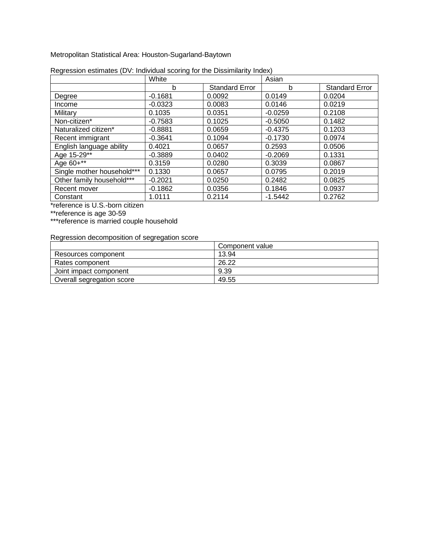Metropolitan Statistical Area: Houston-Sugarland-Baytown

|                            | White     |                       | Asian     |                       |
|----------------------------|-----------|-----------------------|-----------|-----------------------|
|                            | b         | <b>Standard Error</b> | b         | <b>Standard Error</b> |
| Degree                     | $-0.1681$ | 0.0092                | 0.0149    | 0.0204                |
| Income                     | $-0.0323$ | 0.0083                | 0.0146    | 0.0219                |
| Military                   | 0.1035    | 0.0351                | $-0.0259$ | 0.2108                |
| Non-citizen*               | $-0.7583$ | 0.1025                | $-0.5050$ | 0.1482                |
| Naturalized citizen*       | $-0.8881$ | 0.0659                | $-0.4375$ | 0.1203                |
| Recent immigrant           | $-0.3641$ | 0.1094                | $-0.1730$ | 0.0974                |
| English language ability   | 0.4021    | 0.0657                | 0.2593    | 0.0506                |
| Age 15-29**                | $-0.3889$ | 0.0402                | $-0.2069$ | 0.1331                |
| Age 60+**                  | 0.3159    | 0.0280                | 0.3039    | 0.0867                |
| Single mother household*** | 0.1330    | 0.0657                | 0.0795    | 0.2019                |
| Other family household***  | $-0.2021$ | 0.0250                | 0.2482    | 0.0825                |
| Recent mover               | $-0.1862$ | 0.0356                | 0.1846    | 0.0937                |
| Constant                   | 1.0111    | 0.2114                | $-1.5442$ | 0.2762                |

| Regression estimates (DV: Individual scoring for the Dissimilarity Index) |  |  |
|---------------------------------------------------------------------------|--|--|
|                                                                           |  |  |

\*reference is U.S.-born citizen

\*\*reference is age 30-59

\*\*\*reference is married couple household

|                           | Component value |
|---------------------------|-----------------|
| Resources component       | 13.94           |
| Rates component           | 26.22           |
| Joint impact component    | 9.39            |
| Overall segregation score | 49.55           |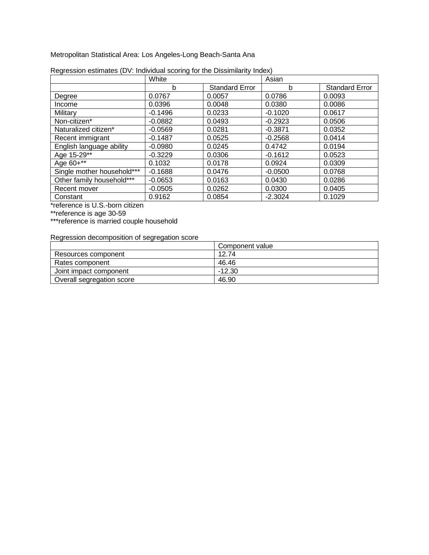Metropolitan Statistical Area: Los Angeles-Long Beach-Santa Ana

|                            | White     |                       | Asian     |                       |
|----------------------------|-----------|-----------------------|-----------|-----------------------|
|                            | b         | <b>Standard Error</b> | b         | <b>Standard Error</b> |
| Degree                     | 0.0767    | 0.0057                | 0.0786    | 0.0093                |
| Income                     | 0.0396    | 0.0048                | 0.0380    | 0.0086                |
| Military                   | $-0.1496$ | 0.0233                | $-0.1020$ | 0.0617                |
| Non-citizen*               | $-0.0882$ | 0.0493                | $-0.2923$ | 0.0506                |
| Naturalized citizen*       | $-0.0569$ | 0.0281                | $-0.3871$ | 0.0352                |
| Recent immigrant           | $-0.1487$ | 0.0525                | $-0.2568$ | 0.0414                |
| English language ability   | $-0.0980$ | 0.0245                | 0.4742    | 0.0194                |
| Age 15-29**                | $-0.3229$ | 0.0306                | $-0.1612$ | 0.0523                |
| Age 60+**                  | 0.1032    | 0.0178                | 0.0924    | 0.0309                |
| Single mother household*** | $-0.1688$ | 0.0476                | $-0.0500$ | 0.0768                |
| Other family household***  | $-0.0653$ | 0.0163                | 0.0430    | 0.0286                |
| Recent mover               | $-0.0505$ | 0.0262                | 0.0300    | 0.0405                |
| Constant                   | 0.9162    | 0.0854                | $-2.3024$ | 0.1029                |

| Regression estimates (DV: Individual scoring for the Dissimilarity Index) |  |  |
|---------------------------------------------------------------------------|--|--|
|                                                                           |  |  |

\*reference is U.S.-born citizen

\*\*reference is age 30-59

\*\*\*reference is married couple household

|                           | Component value |
|---------------------------|-----------------|
| Resources component       | 12.74           |
| Rates component           | 46.46           |
| Joint impact component    | $-12.30$        |
| Overall segregation score | 46.90           |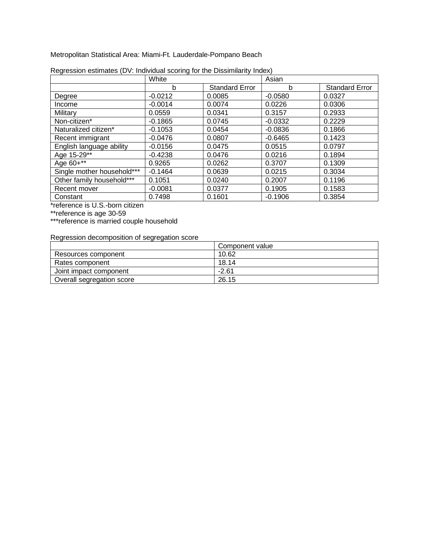Metropolitan Statistical Area: Miami-Ft. Lauderdale-Pompano Beach

|                            | White     |                       | Asian     |                       |
|----------------------------|-----------|-----------------------|-----------|-----------------------|
|                            | b         | <b>Standard Error</b> | b         | <b>Standard Error</b> |
| Degree                     | $-0.0212$ | 0.0085                | $-0.0580$ | 0.0327                |
| Income                     | $-0.0014$ | 0.0074                | 0.0226    | 0.0306                |
| Military                   | 0.0559    | 0.0341                | 0.3157    | 0.2933                |
| Non-citizen*               | $-0.1865$ | 0.0745                | $-0.0332$ | 0.2229                |
| Naturalized citizen*       | $-0.1053$ | 0.0454                | $-0.0836$ | 0.1866                |
| Recent immigrant           | $-0.0476$ | 0.0807                | $-0.6465$ | 0.1423                |
| English language ability   | $-0.0156$ | 0.0475                | 0.0515    | 0.0797                |
| Age 15-29**                | $-0.4238$ | 0.0476                | 0.0216    | 0.1894                |
| Age 60+**                  | 0.9265    | 0.0262                | 0.3707    | 0.1309                |
| Single mother household*** | $-0.1464$ | 0.0639                | 0.0215    | 0.3034                |
| Other family household***  | 0.1051    | 0.0240                | 0.2007    | 0.1196                |
| Recent mover               | $-0.0081$ | 0.0377                | 0.1905    | 0.1583                |
| Constant                   | 0.7498    | 0.1601                | $-0.1906$ | 0.3854                |

| Regression estimates (DV: Individual scoring for the Dissimilarity Index) |  |  |
|---------------------------------------------------------------------------|--|--|
|                                                                           |  |  |

\*reference is U.S.-born citizen

\*\*reference is age 30-59

\*\*\*reference is married couple household

|                           | Component value |
|---------------------------|-----------------|
| Resources component       | 10.62           |
| Rates component           | 18.14           |
| Joint impact component    | $-2.61$         |
| Overall segregation score | 26.15           |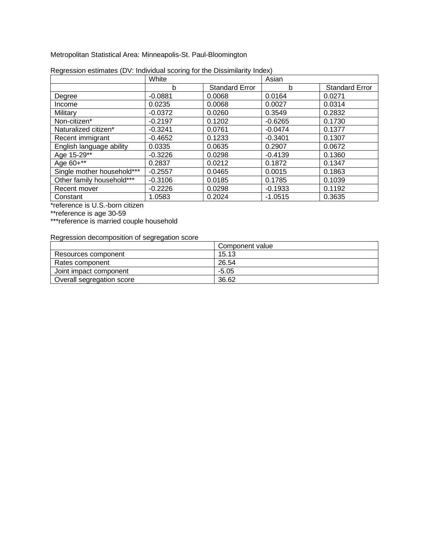Metropolitan Statistical Area: Minneapolis-St. Paul-Bloomington

|                            | White     |                       | Asian     |                       |
|----------------------------|-----------|-----------------------|-----------|-----------------------|
|                            | b         | <b>Standard Error</b> | b         | <b>Standard Error</b> |
| Degree                     | $-0.0881$ | 0.0068                | 0.0164    | 0.0271                |
| Income                     | 0.0235    | 0.0068                | 0.0027    | 0.0314                |
| Military                   | $-0.0372$ | 0.0260                | 0.3549    | 0.2832                |
| Non-citizen*               | $-0.2197$ | 0.1202                | $-0.6265$ | 0.1730                |
| Naturalized citizen*       | $-0.3241$ | 0.0761                | $-0.0474$ | 0.1377                |
| Recent immigrant           | $-0.4652$ | 0.1233                | $-0.3401$ | 0.1307                |
| English language ability   | 0.0335    | 0.0635                | 0.2907    | 0.0672                |
| Age 15-29**                | $-0.3226$ | 0.0298                | $-0.4139$ | 0.1360                |
| Age 60+**                  | 0.2837    | 0.0212                | 0.1872    | 0.1347                |
| Single mother household*** | $-0.2557$ | 0.0465                | 0.0015    | 0.1863                |
| Other family household***  | $-0.3106$ | 0.0185                | 0.1785    | 0.1039                |
| Recent mover               | $-0.2226$ | 0.0298                | $-0.1933$ | 0.1192                |
| Constant                   | 1.0583    | 0.2024                | $-1.0515$ | 0.3635                |

| Regression estimates (DV: Individual scoring for the Dissimilarity Index) |
|---------------------------------------------------------------------------|
|---------------------------------------------------------------------------|

\*reference is U.S.-born citizen

\*\*reference is age 30-59

\*\*\*reference is married couple household

|                           | Component value |
|---------------------------|-----------------|
| Resources component       | 15.13           |
| Rates component           | 26.54           |
| Joint impact component    | $-5.05$         |
| Overall segregation score | 36.62           |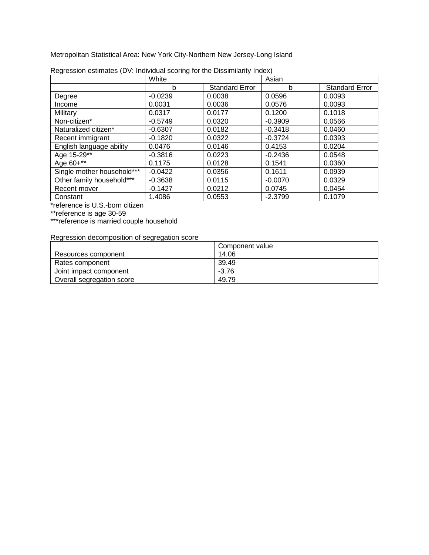Metropolitan Statistical Area: New York City-Northern New Jersey-Long Island

|                            | White     |                       | Asian     |                       |
|----------------------------|-----------|-----------------------|-----------|-----------------------|
|                            | b         | <b>Standard Error</b> | b         | <b>Standard Error</b> |
| Degree                     | $-0.0239$ | 0.0038                | 0.0596    | 0.0093                |
| Income                     | 0.0031    | 0.0036                | 0.0576    | 0.0093                |
| Military                   | 0.0317    | 0.0177                | 0.1200    | 0.1018                |
| Non-citizen*               | $-0.5749$ | 0.0320                | $-0.3909$ | 0.0566                |
| Naturalized citizen*       | $-0.6307$ | 0.0182                | $-0.3418$ | 0.0460                |
| Recent immigrant           | $-0.1820$ | 0.0322                | $-0.3724$ | 0.0393                |
| English language ability   | 0.0476    | 0.0146                | 0.4153    | 0.0204                |
| Age 15-29**                | $-0.3816$ | 0.0223                | $-0.2436$ | 0.0548                |
| Age 60+**                  | 0.1175    | 0.0128                | 0.1541    | 0.0360                |
| Single mother household*** | $-0.0422$ | 0.0356                | 0.1611    | 0.0939                |
| Other family household***  | $-0.3638$ | 0.0115                | $-0.0070$ | 0.0329                |
| Recent mover               | $-0.1427$ | 0.0212                | 0.0745    | 0.0454                |
| Constant                   | 1.4086    | 0.0553                | $-2.3799$ | 0.1079                |

| Regression estimates (DV: Individual scoring for the Dissimilarity Index) |  |  |
|---------------------------------------------------------------------------|--|--|
|                                                                           |  |  |

\*reference is U.S.-born citizen

\*\*reference is age 30-59

\*\*\*reference is married couple household

|                           | Component value |
|---------------------------|-----------------|
| Resources component       | 14.06           |
| Rates component           | 39.49           |
| Joint impact component    | $-3.76$         |
| Overall segregation score | 49.79           |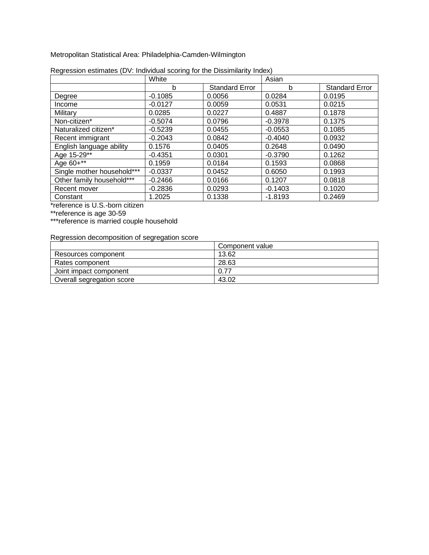Metropolitan Statistical Area: Philadelphia-Camden-Wilmington

|                            | White     |                       | Asian     |                       |
|----------------------------|-----------|-----------------------|-----------|-----------------------|
|                            | b         | <b>Standard Error</b> | b         | <b>Standard Error</b> |
| Degree                     | $-0.1085$ | 0.0056                | 0.0284    | 0.0195                |
| Income                     | $-0.0127$ | 0.0059                | 0.0531    | 0.0215                |
| Military                   | 0.0285    | 0.0227                | 0.4887    | 0.1878                |
| Non-citizen*               | $-0.5074$ | 0.0796                | $-0.3978$ | 0.1375                |
| Naturalized citizen*       | $-0.5239$ | 0.0455                | $-0.0553$ | 0.1085                |
| Recent immigrant           | $-0.2043$ | 0.0842                | $-0.4040$ | 0.0932                |
| English language ability   | 0.1576    | 0.0405                | 0.2648    | 0.0490                |
| Age 15-29**                | $-0.4351$ | 0.0301                | $-0.3790$ | 0.1262                |
| Age 60+**                  | 0.1959    | 0.0184                | 0.1593    | 0.0868                |
| Single mother household*** | $-0.0337$ | 0.0452                | 0.6050    | 0.1993                |
| Other family household***  | $-0.2466$ | 0.0166                | 0.1207    | 0.0818                |
| Recent mover               | $-0.2836$ | 0.0293                | $-0.1403$ | 0.1020                |
| Constant                   | 1.2025    | 0.1338                | $-1.8193$ | 0.2469                |

| Regression estimates (DV: Individual scoring for the Dissimilarity Index) |  |  |
|---------------------------------------------------------------------------|--|--|
|                                                                           |  |  |

\*reference is U.S.-born citizen

\*\*reference is age 30-59

\*\*\*reference is married couple household

|                           | Component value |
|---------------------------|-----------------|
| Resources component       | 13.62           |
| Rates component           | 28.63           |
| Joint impact component    | 0.77            |
| Overall segregation score | 43.02           |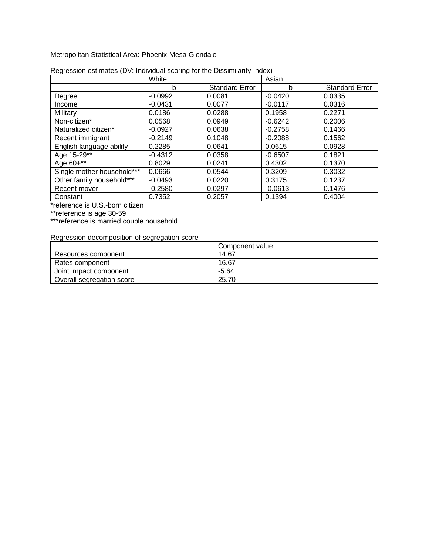Metropolitan Statistical Area: Phoenix-Mesa-Glendale

|                            | White     |                       | Asian     |                       |
|----------------------------|-----------|-----------------------|-----------|-----------------------|
|                            | b         | <b>Standard Error</b> | b         | <b>Standard Error</b> |
| Degree                     | $-0.0992$ | 0.0081                | $-0.0420$ | 0.0335                |
| Income                     | $-0.0431$ | 0.0077                | $-0.0117$ | 0.0316                |
| Military                   | 0.0186    | 0.0288                | 0.1958    | 0.2271                |
| Non-citizen*               | 0.0568    | 0.0949                | $-0.6242$ | 0.2006                |
| Naturalized citizen*       | $-0.0927$ | 0.0638                | $-0.2758$ | 0.1466                |
| Recent immigrant           | $-0.2149$ | 0.1048                | $-0.2088$ | 0.1562                |
| English language ability   | 0.2285    | 0.0641                | 0.0615    | 0.0928                |
| Age 15-29**                | $-0.4312$ | 0.0358                | $-0.6507$ | 0.1821                |
| Age 60+**                  | 0.8029    | 0.0241                | 0.4302    | 0.1370                |
| Single mother household*** | 0.0666    | 0.0544                | 0.3209    | 0.3032                |
| Other family household***  | $-0.0493$ | 0.0220                | 0.3175    | 0.1237                |
| Recent mover               | $-0.2580$ | 0.0297                | $-0.0613$ | 0.1476                |
| Constant                   | 0.7352    | 0.2057                | 0.1394    | 0.4004                |

| Regression estimates (DV: Individual scoring for the Dissimilarity Index) |  |  |  |
|---------------------------------------------------------------------------|--|--|--|
|                                                                           |  |  |  |

\*reference is U.S.-born citizen

\*\*reference is age 30-59

\*\*\*reference is married couple household

|                           | Component value |
|---------------------------|-----------------|
| Resources component       | 14.67           |
| Rates component           | 16.67           |
| Joint impact component    | $-5.64$         |
| Overall segregation score | 25.70           |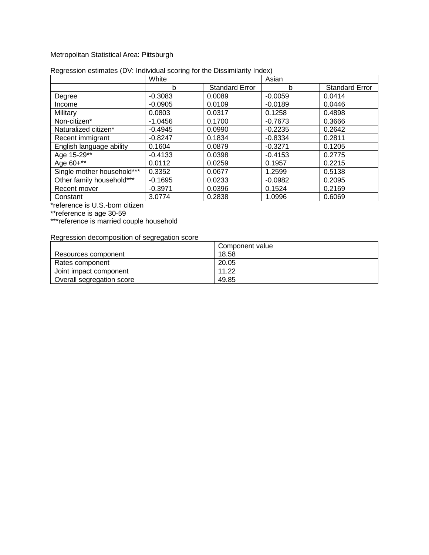#### Metropolitan Statistical Area: Pittsburgh

|                            | White     |                       | Asian     |                       |
|----------------------------|-----------|-----------------------|-----------|-----------------------|
|                            | b         | <b>Standard Error</b> | b         | <b>Standard Error</b> |
| Degree                     | $-0.3083$ | 0.0089                | $-0.0059$ | 0.0414                |
| Income                     | $-0.0905$ | 0.0109                | $-0.0189$ | 0.0446                |
| Military                   | 0.0803    | 0.0317                | 0.1258    | 0.4898                |
| Non-citizen*               | $-1.0456$ | 0.1700                | $-0.7673$ | 0.3666                |
| Naturalized citizen*       | $-0.4945$ | 0.0990                | $-0.2235$ | 0.2642                |
| Recent immigrant           | $-0.8247$ | 0.1834                | $-0.8334$ | 0.2811                |
| English language ability   | 0.1604    | 0.0879                | $-0.3271$ | 0.1205                |
| Age 15-29**                | $-0.4133$ | 0.0398                | $-0.4153$ | 0.2775                |
| Age 60+**                  | 0.0112    | 0.0259                | 0.1957    | 0.2215                |
| Single mother household*** | 0.3352    | 0.0677                | 1.2599    | 0.5138                |
| Other family household***  | $-0.1695$ | 0.0233                | $-0.0982$ | 0.2095                |
| Recent mover               | $-0.3971$ | 0.0396                | 0.1524    | 0.2169                |
| Constant                   | 3.0774    | 0.2838                | 1.0996    | 0.6069                |

#### Regression estimates (DV: Individual scoring for the Dissimilarity Index)

\*reference is U.S.-born citizen

\*\*reference is age 30-59

\*\*\*reference is married couple household

|                           | Component value |
|---------------------------|-----------------|
| Resources component       | 18.58           |
| Rates component           | 20.05           |
| Joint impact component    | 11.22           |
| Overall segregation score | 49.85           |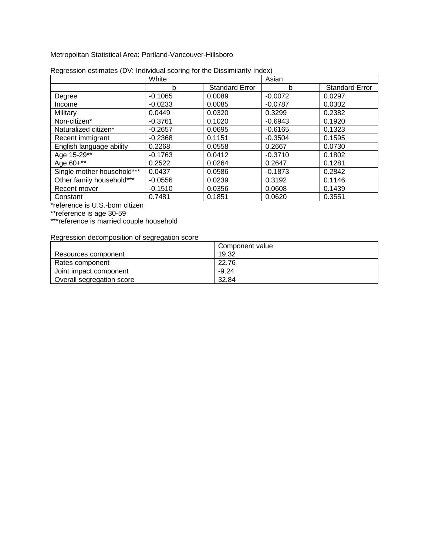Metropolitan Statistical Area: Portland-Vancouver-Hillsboro

|                            | White     |                       | Asian     |                       |
|----------------------------|-----------|-----------------------|-----------|-----------------------|
|                            | b         | <b>Standard Error</b> | b         | <b>Standard Error</b> |
| Degree                     | $-0.1065$ | 0.0089                | $-0.0072$ | 0.0297                |
| Income                     | $-0.0233$ | 0.0085                | $-0.0787$ | 0.0302                |
| Military                   | 0.0449    | 0.0320                | 0.3299    | 0.2382                |
| Non-citizen*               | $-0.3761$ | 0.1020                | $-0.6943$ | 0.1920                |
| Naturalized citizen*       | $-0.2657$ | 0.0695                | $-0.6165$ | 0.1323                |
| Recent immigrant           | $-0.2368$ | 0.1151                | $-0.3504$ | 0.1595                |
| English language ability   | 0.2268    | 0.0558                | 0.2667    | 0.0730                |
| Age 15-29**                | $-0.1763$ | 0.0412                | $-0.3710$ | 0.1802                |
| Age 60+**                  | 0.2522    | 0.0264                | 0.2647    | 0.1281                |
| Single mother household*** | 0.0437    | 0.0586                | $-0.1873$ | 0.2842                |
| Other family household***  | $-0.0556$ | 0.0239                | 0.3192    | 0.1146                |
| Recent mover               | $-0.1510$ | 0.0356                | 0.0608    | 0.1439                |
| Constant                   | 0.7481    | 0.1851                | 0.0620    | 0.3551                |

| Regression estimates (DV: Individual scoring for the Dissimilarity Index) |  |  |
|---------------------------------------------------------------------------|--|--|
|                                                                           |  |  |

\*reference is U.S.-born citizen

\*\*reference is age 30-59

\*\*\*reference is married couple household

|                           | Component value |
|---------------------------|-----------------|
| Resources component       | 19.32           |
| Rates component           | 22.76           |
| Joint impact component    | $-9.24$         |
| Overall segregation score | 32.84           |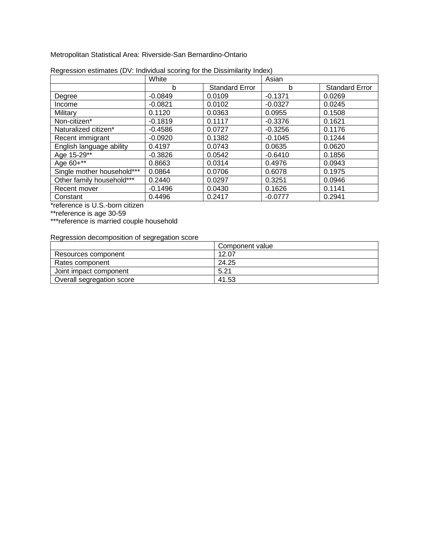Metropolitan Statistical Area: Riverside-San Bernardino-Ontario

|                            | White     |                       | Asian     |                       |
|----------------------------|-----------|-----------------------|-----------|-----------------------|
|                            | b         | <b>Standard Error</b> | b         | <b>Standard Error</b> |
| Degree                     | $-0.0849$ | 0.0109                | $-0.1371$ | 0.0269                |
| Income                     | $-0.0821$ | 0.0102                | $-0.0327$ | 0.0245                |
| Military                   | 0.1120    | 0.0363                | 0.0955    | 0.1508                |
| Non-citizen*               | $-0.1819$ | 0.1117                | $-0.3376$ | 0.1621                |
| Naturalized citizen*       | $-0.4586$ | 0.0727                | $-0.3256$ | 0.1176                |
| Recent immigrant           | $-0.0920$ | 0.1382                | $-0.1045$ | 0.1244                |
| English language ability   | 0.4197    | 0.0743                | 0.0635    | 0.0620                |
| Age 15-29**                | $-0.3826$ | 0.0542                | $-0.6410$ | 0.1856                |
| Age 60+**                  | 0.8663    | 0.0314                | 0.4976    | 0.0943                |
| Single mother household*** | 0.0864    | 0.0706                | 0.6078    | 0.1975                |
| Other family household***  | 0.2440    | 0.0297                | 0.3251    | 0.0946                |
| Recent mover               | $-0.1496$ | 0.0430                | 0.1626    | 0.1141                |
| Constant                   | 0.4496    | 0.2417                | $-0.0777$ | 0.2941                |

| Regression estimates (DV: Individual scoring for the Dissimilarity Index) |  |  |
|---------------------------------------------------------------------------|--|--|
|                                                                           |  |  |

\*reference is U.S.-born citizen

\*\*reference is age 30-59

\*\*\*reference is married couple household

|                           | Component value |
|---------------------------|-----------------|
| Resources component       | 12.07           |
| Rates component           | 24.25           |
| Joint impact component    | 5.21            |
| Overall segregation score | 41.53           |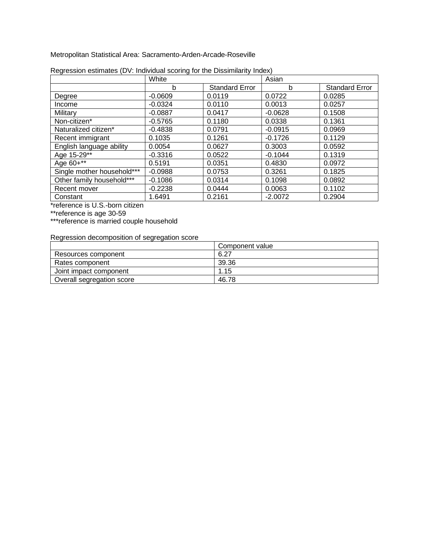Metropolitan Statistical Area: Sacramento-Arden-Arcade-Roseville

|                            | White     |                       | Asian     |                       |
|----------------------------|-----------|-----------------------|-----------|-----------------------|
|                            | b         | <b>Standard Error</b> | b         | <b>Standard Error</b> |
| Degree                     | $-0.0609$ | 0.0119                | 0.0722    | 0.0285                |
| Income                     | $-0.0324$ | 0.0110                | 0.0013    | 0.0257                |
| Military                   | $-0.0887$ | 0.0417                | $-0.0628$ | 0.1508                |
| Non-citizen*               | $-0.5765$ | 0.1180                | 0.0338    | 0.1361                |
| Naturalized citizen*       | $-0.4838$ | 0.0791                | $-0.0915$ | 0.0969                |
| Recent immigrant           | 0.1035    | 0.1261                | $-0.1726$ | 0.1129                |
| English language ability   | 0.0054    | 0.0627                | 0.3003    | 0.0592                |
| Age 15-29**                | $-0.3316$ | 0.0522                | $-0.1044$ | 0.1319                |
| Age 60+**                  | 0.5191    | 0.0351                | 0.4830    | 0.0972                |
| Single mother household*** | $-0.0988$ | 0.0753                | 0.3261    | 0.1825                |
| Other family household***  | $-0.1086$ | 0.0314                | 0.1098    | 0.0892                |
| Recent mover               | $-0.2238$ | 0.0444                | 0.0063    | 0.1102                |
| Constant                   | 1.6491    | 0.2161                | $-2.0072$ | 0.2904                |

| Regression estimates (DV: Individual scoring for the Dissimilarity Index) |  |  |
|---------------------------------------------------------------------------|--|--|
|                                                                           |  |  |

\*reference is U.S.-born citizen

\*\*reference is age 30-59

\*\*\*reference is married couple household

|                           | Component value |
|---------------------------|-----------------|
| Resources component       | 6.27            |
| Rates component           | 39.36           |
| Joint impact component    | 1.15            |
| Overall segregation score | 46.78           |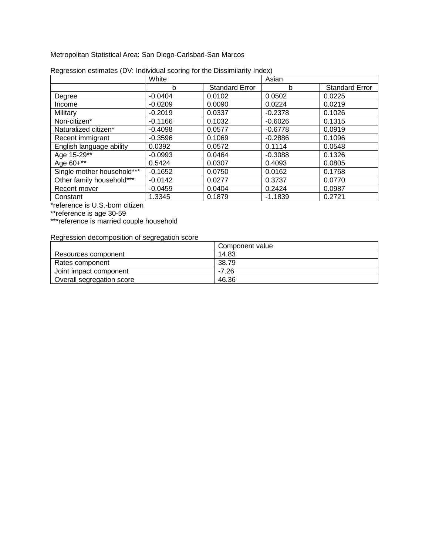Metropolitan Statistical Area: San Diego-Carlsbad-San Marcos

|                            | White     |                       | Asian     |                       |
|----------------------------|-----------|-----------------------|-----------|-----------------------|
|                            | b         | <b>Standard Error</b> | b         | <b>Standard Error</b> |
| Degree                     | $-0.0404$ | 0.0102                | 0.0502    | 0.0225                |
| Income                     | $-0.0209$ | 0.0090                | 0.0224    | 0.0219                |
| Military                   | $-0.2019$ | 0.0337                | $-0.2378$ | 0.1026                |
| Non-citizen*               | $-0.1166$ | 0.1032                | $-0.6026$ | 0.1315                |
| Naturalized citizen*       | $-0.4098$ | 0.0577                | $-0.6778$ | 0.0919                |
| Recent immigrant           | $-0.3596$ | 0.1069                | $-0.2886$ | 0.1096                |
| English language ability   | 0.0392    | 0.0572                | 0.1114    | 0.0548                |
| Age 15-29**                | $-0.0993$ | 0.0464                | $-0.3088$ | 0.1326                |
| Age 60+**                  | 0.5424    | 0.0307                | 0.4093    | 0.0805                |
| Single mother household*** | $-0.1652$ | 0.0750                | 0.0162    | 0.1768                |
| Other family household***  | $-0.0142$ | 0.0277                | 0.3737    | 0.0770                |
| Recent mover               | $-0.0459$ | 0.0404                | 0.2424    | 0.0987                |
| Constant                   | 1.3345    | 0.1879                | $-1.1839$ | 0.2721                |

| Regression estimates (DV: Individual scoring for the Dissimilarity Index) |  |  |
|---------------------------------------------------------------------------|--|--|
|                                                                           |  |  |

\*reference is U.S.-born citizen

\*\*reference is age 30-59

\*\*\*reference is married couple household

|                           | Component value |
|---------------------------|-----------------|
| Resources component       | 14.83           |
| Rates component           | 38.79           |
| Joint impact component    | $-7.26$         |
| Overall segregation score | 46.36           |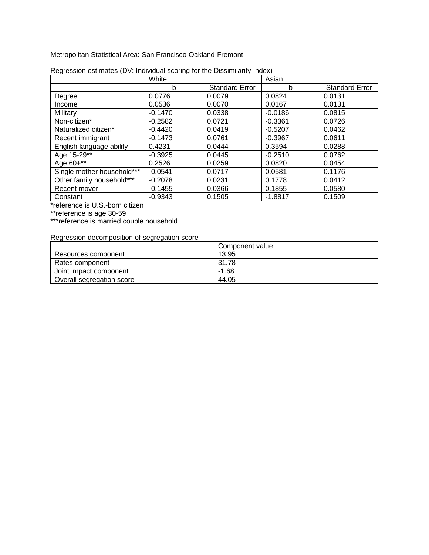Metropolitan Statistical Area: San Francisco-Oakland-Fremont

|                            | White     |                       | Asian     |                       |
|----------------------------|-----------|-----------------------|-----------|-----------------------|
|                            | b         | <b>Standard Error</b> | b         | <b>Standard Error</b> |
| Degree                     | 0.0776    | 0.0079                | 0.0824    | 0.0131                |
| Income                     | 0.0536    | 0.0070                | 0.0167    | 0.0131                |
| Military                   | $-0.1470$ | 0.0338                | $-0.0186$ | 0.0815                |
| Non-citizen*               | $-0.2582$ | 0.0721                | $-0.3361$ | 0.0726                |
| Naturalized citizen*       | $-0.4420$ | 0.0419                | $-0.5207$ | 0.0462                |
| Recent immigrant           | $-0.1473$ | 0.0761                | $-0.3967$ | 0.0611                |
| English language ability   | 0.4231    | 0.0444                | 0.3594    | 0.0288                |
| Age 15-29**                | $-0.3925$ | 0.0445                | $-0.2510$ | 0.0762                |
| Age 60+**                  | 0.2526    | 0.0259                | 0.0820    | 0.0454                |
| Single mother household*** | $-0.0541$ | 0.0717                | 0.0581    | 0.1176                |
| Other family household***  | $-0.2078$ | 0.0231                | 0.1778    | 0.0412                |
| Recent mover               | $-0.1455$ | 0.0366                | 0.1855    | 0.0580                |
| Constant                   | $-0.9343$ | 0.1505                | $-1.8817$ | 0.1509                |

| Regression estimates (DV: Individual scoring for the Dissimilarity Index) |  |  |  |  |
|---------------------------------------------------------------------------|--|--|--|--|
|                                                                           |  |  |  |  |

\*reference is U.S.-born citizen

\*\*reference is age 30-59

\*\*\*reference is married couple household

|                           | Component value |
|---------------------------|-----------------|
| Resources component       | 13.95           |
| Rates component           | 31.78           |
| Joint impact component    | $-1.68$         |
| Overall segregation score | 44.05           |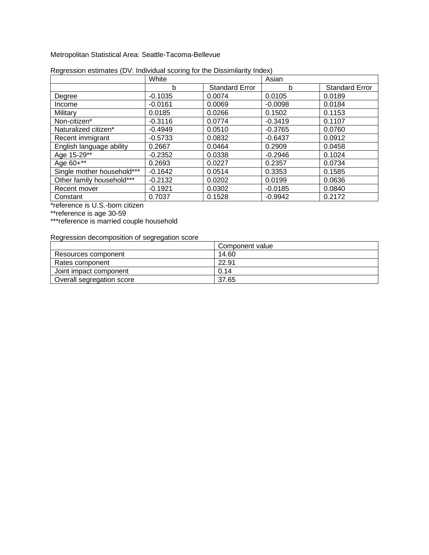Metropolitan Statistical Area: Seattle-Tacoma-Bellevue

|                            | White     |                       | Asian     |                       |
|----------------------------|-----------|-----------------------|-----------|-----------------------|
|                            | b         | <b>Standard Error</b> | b         | <b>Standard Error</b> |
| Degree                     | $-0.1035$ | 0.0074                | 0.0105    | 0.0189                |
| Income                     | $-0.0161$ | 0.0069                | $-0.0098$ | 0.0184                |
| Military                   | 0.0185    | 0.0266                | 0.1502    | 0.1153                |
| Non-citizen*               | $-0.3116$ | 0.0774                | $-0.3419$ | 0.1107                |
| Naturalized citizen*       | $-0.4949$ | 0.0510                | $-0.3765$ | 0.0760                |
| Recent immigrant           | $-0.5733$ | 0.0832                | $-0.6437$ | 0.0912                |
| English language ability   | 0.2667    | 0.0464                | 0.2909    | 0.0458                |
| Age 15-29**                | $-0.2352$ | 0.0338                | $-0.2946$ | 0.1024                |
| Age 60+**                  | 0.2693    | 0.0227                | 0.2357    | 0.0734                |
| Single mother household*** | $-0.1642$ | 0.0514                | 0.3353    | 0.1585                |
| Other family household***  | $-0.2132$ | 0.0202                | 0.0199    | 0.0636                |
| Recent mover               | $-0.1921$ | 0.0302                | $-0.0185$ | 0.0840                |
| Constant                   | 0.7037    | 0.1528                | $-0.9942$ | 0.2172                |

| Regression estimates (DV: Individual scoring for the Dissimilarity Index) |  |  |  |  |
|---------------------------------------------------------------------------|--|--|--|--|
|                                                                           |  |  |  |  |

\*reference is U.S.-born citizen

\*\*reference is age 30-59

\*\*\*reference is married couple household

|                           | Component value |
|---------------------------|-----------------|
| Resources component       | 14.60           |
| Rates component           | 22.91           |
| Joint impact component    | 0.14            |
| Overall segregation score | 37.65           |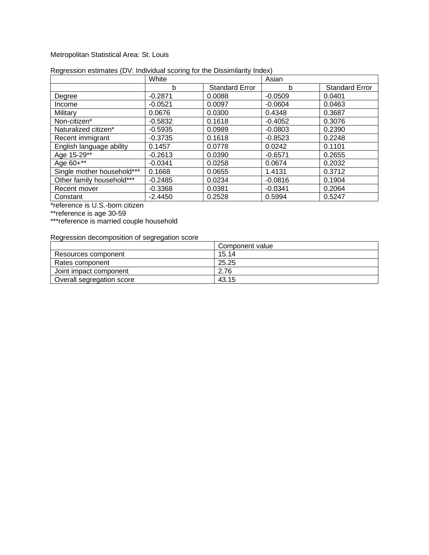### Metropolitan Statistical Area: St. Louis

|                            | White     |                       | Asian     |                       |
|----------------------------|-----------|-----------------------|-----------|-----------------------|
|                            | b         | <b>Standard Error</b> | b         | <b>Standard Error</b> |
| Degree                     | $-0.2871$ | 0.0088                | $-0.0509$ | 0.0401                |
| Income                     | $-0.0521$ | 0.0097                | $-0.0604$ | 0.0463                |
| Military                   | 0.0676    | 0.0300                | 0.4348    | 0.3687                |
| Non-citizen*               | $-0.5832$ | 0.1618                | $-0.4052$ | 0.3076                |
| Naturalized citizen*       | $-0.5935$ | 0.0989                | $-0.0803$ | 0.2390                |
| Recent immigrant           | $-0.3735$ | 0.1618                | $-0.8523$ | 0.2248                |
| English language ability   | 0.1457    | 0.0778                | 0.0242    | 0.1101                |
| Age 15-29**                | $-0.2613$ | 0.0390                | $-0.6571$ | 0.2655                |
| Age 60+**                  | $-0.0341$ | 0.0258                | 0.0674    | 0.2032                |
| Single mother household*** | 0.1668    | 0.0655                | 1.4131    | 0.3712                |
| Other family household***  | $-0.2485$ | 0.0234                | $-0.0816$ | 0.1904                |
| Recent mover               | $-0.3368$ | 0.0381                | $-0.0341$ | 0.2064                |
| Constant                   | $-2.4450$ | 0.2528                | 0.5994    | 0.5247                |

#### Regression estimates (DV: Individual scoring for the Dissimilarity Index)

\*reference is U.S.-born citizen

\*\*reference is age 30-59

\*\*\*reference is married couple household

|                           | Component value |
|---------------------------|-----------------|
| Resources component       | 15.14           |
| Rates component           | 25.25           |
| Joint impact component    | 2.76            |
| Overall segregation score | 43.15           |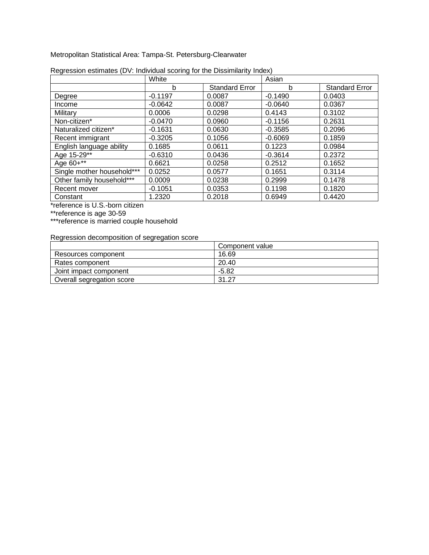Metropolitan Statistical Area: Tampa-St. Petersburg-Clearwater

|                            | White     |                       | Asian     |                       |
|----------------------------|-----------|-----------------------|-----------|-----------------------|
|                            | b         | <b>Standard Error</b> | b         | <b>Standard Error</b> |
| Degree                     | $-0.1197$ | 0.0087                | $-0.1490$ | 0.0403                |
| Income                     | $-0.0642$ | 0.0087                | $-0.0640$ | 0.0367                |
| Military                   | 0.0006    | 0.0298                | 0.4143    | 0.3102                |
| Non-citizen*               | $-0.0470$ | 0.0960                | $-0.1156$ | 0.2631                |
| Naturalized citizen*       | $-0.1631$ | 0.0630                | $-0.3585$ | 0.2096                |
| Recent immigrant           | $-0.3205$ | 0.1056                | $-0.6069$ | 0.1859                |
| English language ability   | 0.1685    | 0.0611                | 0.1223    | 0.0984                |
| Age 15-29**                | $-0.6310$ | 0.0436                | $-0.3614$ | 0.2372                |
| Age 60+**                  | 0.6621    | 0.0258                | 0.2512    | 0.1652                |
| Single mother household*** | 0.0252    | 0.0577                | 0.1651    | 0.3114                |
| Other family household***  | 0.0009    | 0.0238                | 0.2999    | 0.1478                |
| Recent mover               | $-0.1051$ | 0.0353                | 0.1198    | 0.1820                |
| Constant                   | 1.2320    | 0.2018                | 0.6949    | 0.4420                |

| Regression estimates (DV: Individual scoring for the Dissimilarity Index) |  |  |
|---------------------------------------------------------------------------|--|--|
|                                                                           |  |  |

\*reference is U.S.-born citizen

\*\*reference is age 30-59

\*\*\*reference is married couple household

|                           | Component value |
|---------------------------|-----------------|
| Resources component       | 16.69           |
| Rates component           | 20.40           |
| Joint impact component    | -5.82           |
| Overall segregation score | 31.27           |